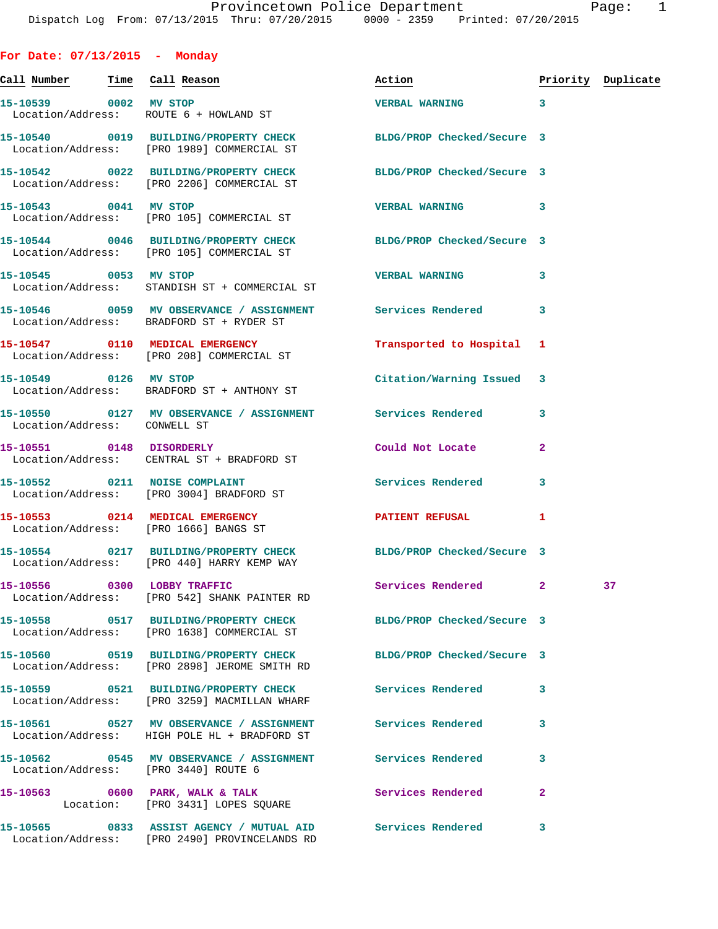**For Date: 07/13/2015 - Monday**

**Call Number Time Call Reason Action Priority Duplicate 15-10539 0002 MV STOP VERBAL WARNING 3**  Location/Address: ROUTE 6 + HOWLAND ST **15-10540 0019 BUILDING/PROPERTY CHECK BLDG/PROP Checked/Secure 3**  Location/Address: [PRO 1989] COMMERCIAL ST **15-10542 0022 BUILDING/PROPERTY CHECK BLDG/PROP Checked/Secure 3**  Location/Address: [PRO 2206] COMMERCIAL ST **15-10543 0041 MV STOP VERBAL WARNING 3**  Location/Address: [PRO 105] COMMERCIAL ST **15-10544 0046 BUILDING/PROPERTY CHECK BLDG/PROP Checked/Secure 3**  Location/Address: [PRO 105] COMMERCIAL ST **15-10545 0053 MV STOP VERBAL WARNING 3**  Location/Address: STANDISH ST + COMMERCIAL ST **15-10546 0059 MV OBSERVANCE / ASSIGNMENT Services Rendered 3**  Location/Address: BRADFORD ST + RYDER ST **15-10547 0110 MEDICAL EMERGENCY Transported to Hospital 1**  Location/Address: [PRO 208] COMMERCIAL ST **15-10549 0126 MV STOP Citation/Warning Issued 3**  Location/Address: BRADFORD ST + ANTHONY ST **15-10550 0127 MV OBSERVANCE / ASSIGNMENT Services Rendered 3**  Location/Address: CONWELL ST **15-10551 0148 DISORDERLY Could Not Locate 2**  Location/Address: CENTRAL ST + BRADFORD ST **15-10552 0211 NOISE COMPLAINT Services Rendered 3**  Location/Address: [PRO 3004] BRADFORD ST **15-10553 0214 MEDICAL EMERGENCY PATIENT REFUSAL 1**  Location/Address: [PRO 1666] BANGS ST **15-10554 0217 BUILDING/PROPERTY CHECK BLDG/PROP Checked/Secure 3**  Location/Address: [PRO 440] HARRY KEMP WAY **15-10556 0300 LOBBY TRAFFIC Services Rendered 2 37**  Location/Address: [PRO 542] SHANK PAINTER RD **15-10558 0517 BUILDING/PROPERTY CHECK BLDG/PROP Checked/Secure 3**  Location/Address: [PRO 1638] COMMERCIAL ST **15-10560 0519 BUILDING/PROPERTY CHECK BLDG/PROP Checked/Secure 3**  Location/Address: [PRO 2898] JEROME SMITH RD **15-10559 0521 BUILDING/PROPERTY CHECK Services Rendered 3**  Location/Address: [PRO 3259] MACMILLAN WHARF **15-10561 0527 MV OBSERVANCE / ASSIGNMENT Services Rendered 3**  Location/Address: HIGH POLE HL + BRADFORD ST **15-10562 0545 MV OBSERVANCE / ASSIGNMENT Services Rendered 3**  Location/Address: [PRO 3440] ROUTE 6 **15-10563 0600 PARK, WALK & TALK Services Rendered 2**  Location: [PRO 3431] LOPES SQUARE **15-10565 0833 ASSIST AGENCY / MUTUAL AID Services Rendered 3** 

Location/Address: [PRO 2490] PROVINCELANDS RD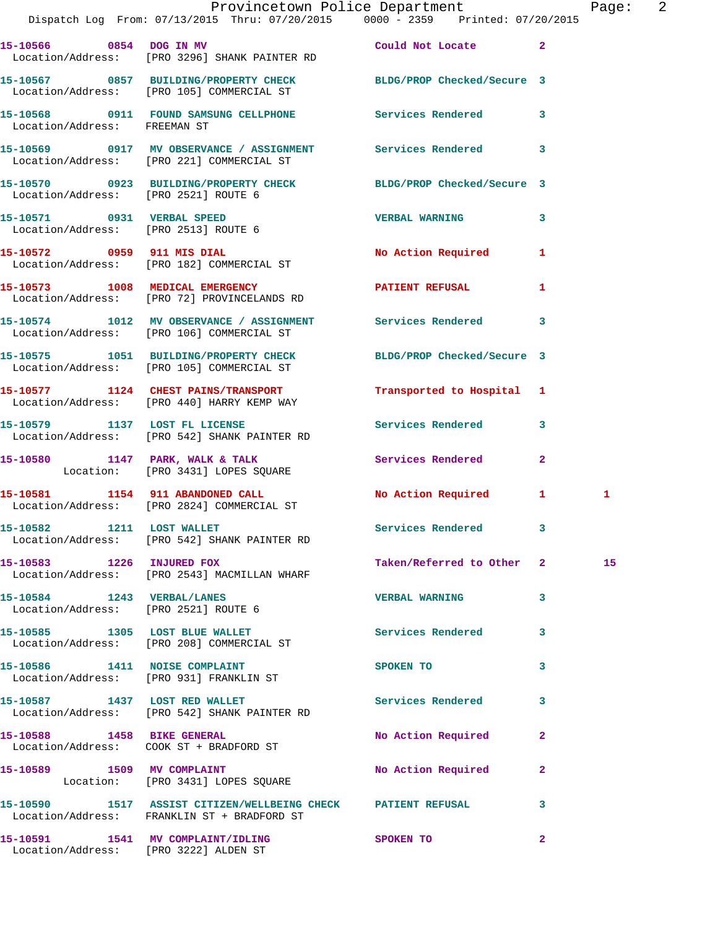|                                      | Provincetown Police Department<br>Dispatch Log From: 07/13/2015 Thru: 07/20/2015 0000 - 2359 Printed: 07/20/2015 |                           |              | Page: 2 |  |
|--------------------------------------|------------------------------------------------------------------------------------------------------------------|---------------------------|--------------|---------|--|
|                                      | 15-10566 0854 DOG IN MV Could Not Locate 2<br>Location/Address: [PRO 3296] SHANK PAINTER RD                      |                           |              |         |  |
|                                      | 15-10567 0857 BUILDING/PROPERTY CHECK BLDG/PROP Checked/Secure 3<br>Location/Address: [PRO 105] COMMERCIAL ST    |                           |              |         |  |
| Location/Address: FREEMAN ST         | 15-10568 0911 FOUND SAMSUNG CELLPHONE Services Rendered 3                                                        |                           |              |         |  |
|                                      | 15-10569 0917 MV OBSERVANCE / ASSIGNMENT Services Rendered 3<br>Location/Address: [PRO 221] COMMERCIAL ST        |                           |              |         |  |
| Location/Address: [PRO 2521] ROUTE 6 | 15-10570 0923 BUILDING/PROPERTY CHECK BLDG/PROP Checked/Secure 3                                                 |                           |              |         |  |
|                                      | 15-10571 0931 VERBAL SPEED<br>Location/Address: [PRO 2513] ROUTE 6                                               | <b>VERBAL WARNING 3</b>   |              |         |  |
|                                      | 15-10572 0959 911 MIS DIAL<br>Location/Address: [PRO 182] COMMERCIAL ST                                          | No Action Required 1      |              |         |  |
|                                      | 15-10573 1008 MEDICAL EMERGENCY<br>Location/Address: [PRO 72] PROVINCELANDS RD                                   | PATIENT REFUSAL           | $\mathbf{1}$ |         |  |
|                                      | 15-10574 1012 MV OBSERVANCE / ASSIGNMENT Services Rendered 3<br>Location/Address: [PRO 106] COMMERCIAL ST        |                           |              |         |  |
|                                      | 15-10575 1051 BUILDING/PROPERTY CHECK BLDG/PROP Checked/Secure 3<br>Location/Address: [PRO 105] COMMERCIAL ST    |                           |              |         |  |
|                                      | 15-10577 1124 CHEST PAINS/TRANSPORT<br>Location/Address: [PRO 440] HARRY KEMP WAY                                | Transported to Hospital 1 |              |         |  |
|                                      | 15-10579 1137 LOST FL LICENSE<br>Location/Address: [PRO 542] SHANK PAINTER RD                                    | Services Rendered 3       |              |         |  |
|                                      | 15-10580 1147 PARK, WALK & TALK<br>Location: [PRO 3431] LOPES SQUARE                                             | Services Rendered 2       |              |         |  |
|                                      | 15-10581 1154 911 ABANDONED CALL<br>Location/Address: [PRO 2824] COMMERCIAL ST                                   | No Action Required 1      |              | 1       |  |
| 15-10582 1211 LOST WALLET            | Location/Address: [PRO 542] SHANK PAINTER RD                                                                     | Services Rendered 3       |              |         |  |
| 15-10583 1226 INJURED FOX            | Location/Address: [PRO 2543] MACMILLAN WHARF                                                                     | Taken/Referred to Other 2 |              | 15      |  |
| Location/Address: [PRO 2521] ROUTE 6 | 15-10584 1243 VERBAL/LANES                                                                                       | <b>VERBAL WARNING</b>     | 3            |         |  |
|                                      | 15-10585 1305 LOST BLUE WALLET<br>Location/Address: [PRO 208] COMMERCIAL ST                                      | Services Rendered 3       |              |         |  |
|                                      | 15-10586 1411 NOISE COMPLAINT<br>Location/Address: [PRO 931] FRANKLIN ST                                         | SPOKEN TO                 | 3            |         |  |
|                                      | 15-10587 1437 LOST RED WALLET<br>Location/Address: [PRO 542] SHANK PAINTER RD                                    | <b>Services Rendered</b>  | 3            |         |  |
|                                      | 15-10588 1458 BIKE GENERAL<br>Location/Address: COOK ST + BRADFORD ST                                            | No Action Required        | $\mathbf{2}$ |         |  |
|                                      | 15-10589 1509 MV COMPLAINT<br>Location: [PRO 3431] LOPES SQUARE                                                  | No Action Required        | $\mathbf{2}$ |         |  |
|                                      | 15-10590 1517 ASSIST CITIZEN/WELLBEING CHECK PATIENT REFUSAL 3<br>Location/Address: FRANKLIN ST + BRADFORD ST    |                           |              |         |  |
|                                      | 15-10591 1541 MV COMPLAINT/IDLING                                                                                | <b>SPOKEN TO</b>          | $\mathbf{2}$ |         |  |

Location/Address: [PRO 3222] ALDEN ST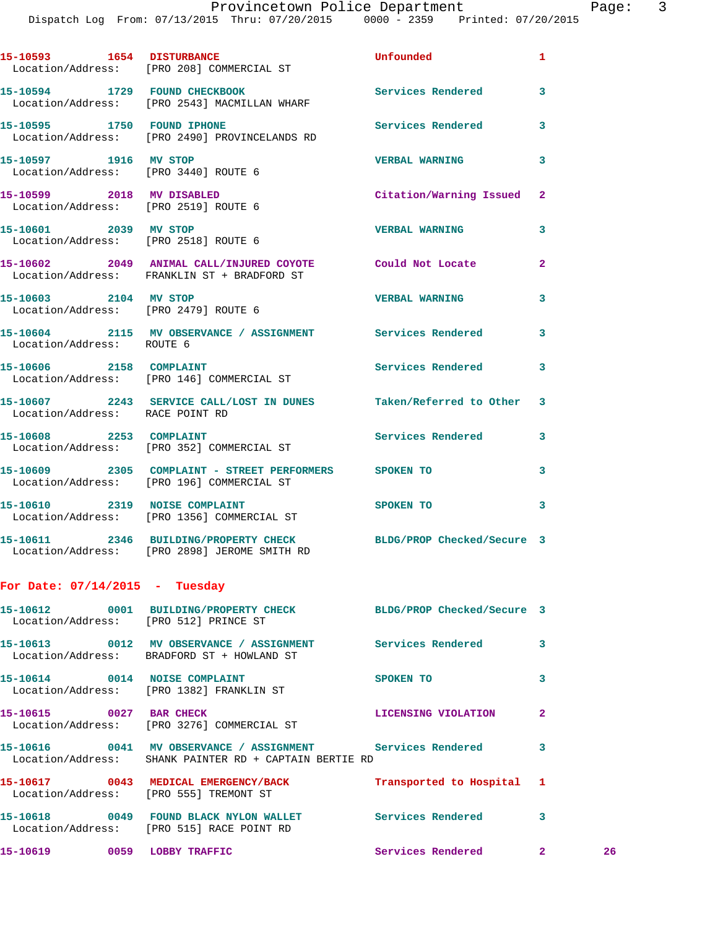Dispatch Log From: 07/13/2015 Thru: 07/20/2015 0000 - 2359 Printed: 07/20/2015

| 15-10593 1654 DISTURBANCE        | Location/Address: [PRO 208] COMMERCIAL ST                                                                            | <b>Unfounded</b>          | 1              |    |
|----------------------------------|----------------------------------------------------------------------------------------------------------------------|---------------------------|----------------|----|
|                                  | 15-10594 1729 FOUND CHECKBOOK<br>Location/Address: [PRO 2543] MACMILLAN WHARF                                        | Services Rendered         | 3              |    |
| 15-10595 1750 FOUND IPHONE       | Location/Address: [PRO 2490] PROVINCELANDS RD                                                                        | Services Rendered         | 3              |    |
|                                  | 15-10597 1916 MV STOP<br>Location/Address: [PRO 3440] ROUTE 6                                                        | <b>VERBAL WARNING</b>     | 3              |    |
|                                  | 15-10599 2018 MV DISABLED<br>Location/Address: [PRO 2519] ROUTE 6                                                    | Citation/Warning Issued 2 |                |    |
|                                  | 15-10601 2039 MV STOP<br>Location/Address: [PRO 2518] ROUTE 6                                                        | <b>VERBAL WARNING</b>     | 3              |    |
|                                  | 15-10602 2049 ANIMAL CALL/INJURED COYOTE Could Not Locate<br>Location/Address: FRANKLIN ST + BRADFORD ST             |                           | $\mathbf{2}$   |    |
|                                  | 15-10603 2104 MV STOP<br>Location/Address: [PRO 2479] ROUTE 6                                                        | <b>VERBAL WARNING</b>     | 3              |    |
| Location/Address: ROUTE 6        | 15-10604 2115 MV OBSERVANCE / ASSIGNMENT Services Rendered                                                           |                           | 3              |    |
|                                  | 15-10606 2158 COMPLAINT<br>Location/Address: [PRO 146] COMMERCIAL ST                                                 | Services Rendered 3       |                |    |
| Location/Address: RACE POINT RD  | 15-10607 2243 SERVICE CALL/LOST IN DUNES Taken/Referred to Other                                                     |                           | 3              |    |
|                                  | 15-10608 2253 COMPLAINT<br>Location/Address: [PRO 352] COMMERCIAL ST                                                 | Services Rendered 3       |                |    |
|                                  | 15-10609 2305 COMPLAINT - STREET PERFORMERS SPOKEN TO<br>Location/Address: [PRO 196] COMMERCIAL ST                   |                           | 3              |    |
|                                  | 15-10610 2319 NOISE COMPLAINT<br>Location/Address: [PRO 1356] COMMERCIAL ST                                          | <b>SPOKEN TO</b>          | 3              |    |
|                                  | 15-10611 2346 BUILDING/PROPERTY CHECK BLDG/PROP Checked/Secure 3<br>Location/Address: [PRO 2898] JEROME SMITH RD     |                           |                |    |
| For Date: $07/14/2015$ - Tuesday |                                                                                                                      |                           |                |    |
|                                  | 15-10612 0001 BUILDING/PROPERTY CHECK BLDG/PROP Checked/Secure 3<br>Location/Address: [PRO 512] PRINCE ST            |                           |                |    |
|                                  | 15-10613 0012 MV OBSERVANCE / ASSIGNMENT Services Rendered 3<br>Location/Address: BRADFORD ST + HOWLAND ST           |                           |                |    |
|                                  | 15-10614 0014 NOISE COMPLAINT<br>Location/Address: [PRO 1382] FRANKLIN ST                                            | SPOKEN TO                 | 3              |    |
| 15-10615 0027 BAR CHECK          | Location/Address: [PRO 3276] COMMERCIAL ST                                                                           | LICENSING VIOLATION       | $\overline{2}$ |    |
|                                  | 15-10616 0041 MV OBSERVANCE / ASSIGNMENT Services Rendered<br>Location/Address: SHANK PAINTER RD + CAPTAIN BERTIE RD |                           | 3              |    |
|                                  | 15-10617 0043 MEDICAL EMERGENCY/BACK Transported to Hospital 1<br>Location/Address: [PRO 555] TREMONT ST             |                           |                |    |
|                                  | 15-10618 0049 FOUND BLACK NYLON WALLET Services Rendered<br>Location/Address: [PRO 515] RACE POINT RD                |                           | 3              |    |
|                                  | 15-10619 0059 LOBBY TRAFFIC                                                                                          | Services Rendered 2       |                | 26 |
|                                  |                                                                                                                      |                           |                |    |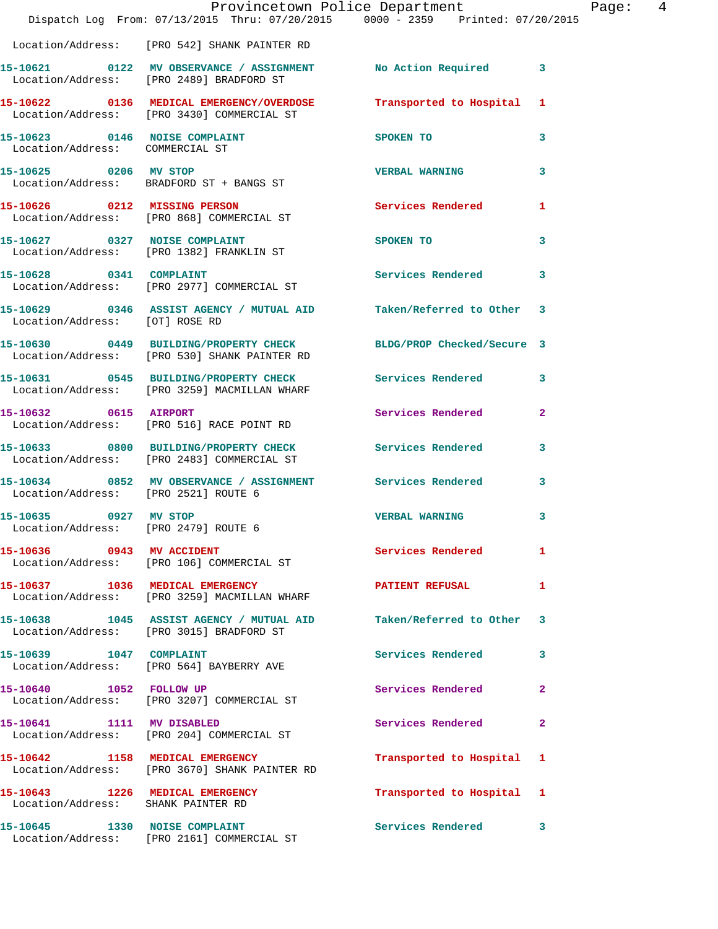|                                                                       | Dispatch Log From: 07/13/2015 Thru: 07/20/2015 0000 - 2359 Printed: 07/20/2015                                 | Provincetown Police Department                                                                                  | Page: 4        |  |
|-----------------------------------------------------------------------|----------------------------------------------------------------------------------------------------------------|-----------------------------------------------------------------------------------------------------------------|----------------|--|
|                                                                       | Location/Address: [PRO 542] SHANK PAINTER RD                                                                   |                                                                                                                 |                |  |
|                                                                       | 15-10621 0122 MV OBSERVANCE / ASSIGNMENT No Action Required 3<br>Location/Address: [PRO 2489] BRADFORD ST      |                                                                                                                 |                |  |
|                                                                       | 15-10622 0136 MEDICAL EMERGENCY/OVERDOSE<br>Location/Address: [PRO 3430] COMMERCIAL ST                         | Transported to Hospital 1                                                                                       |                |  |
| Location/Address: COMMERCIAL ST                                       | 15-10623 0146 NOISE COMPLAINT                                                                                  | SPOKEN TO                                                                                                       | $\mathbf{3}$   |  |
|                                                                       | 15-10625 0206 MV STOP<br>Location/Address: BRADFORD ST + BANGS ST                                              | <b>VERBAL WARNING</b>                                                                                           | 3              |  |
|                                                                       | 15-10626 0212 MISSING PERSON<br>Location/Address: [PRO 868] COMMERCIAL ST                                      | Services Rendered 1                                                                                             |                |  |
|                                                                       | 15-10627 0327 NOISE COMPLAINT<br>Location/Address: [PRO 1382] FRANKLIN ST                                      | SPOKEN TO THE STRIKE STRIKE STRIKE STRIKE STRIKE STRIKE STRIKE STRIKE STRIKE STRIKE STRIKE STRIKE STRIKE STRIKE | 3              |  |
| 15-10628 0341 COMPLAINT                                               | Location/Address: [PRO 2977] COMMERCIAL ST                                                                     | Services Rendered 3                                                                                             |                |  |
|                                                                       | 15-10629 0346 ASSIST AGENCY / MUTUAL AID Taken/Referred to Other 3<br>Location/Address: [OT] ROSE RD           |                                                                                                                 |                |  |
|                                                                       | 15-10630 0449 BUILDING/PROPERTY CHECK<br>Location/Address: [PRO 530] SHANK PAINTER RD                          | BLDG/PROP Checked/Secure 3                                                                                      |                |  |
|                                                                       | 15-10631 0545 BUILDING/PROPERTY CHECK Services Rendered 3<br>Location/Address: [PRO 3259] MACMILLAN WHARF      |                                                                                                                 |                |  |
| 15-10632 0615 AIRPORT                                                 | Location/Address: [PRO 516] RACE POINT RD                                                                      | Services Rendered                                                                                               | $\overline{2}$ |  |
|                                                                       | 15-10633 0800 BUILDING/PROPERTY CHECK Services Rendered 3<br>Location/Address: [PRO 2483] COMMERCIAL ST        |                                                                                                                 |                |  |
| Location/Address: [PRO 2521] ROUTE 6                                  | 15-10634 0852 MV OBSERVANCE / ASSIGNMENT Services Rendered                                                     |                                                                                                                 | $\mathbf{3}$   |  |
| 15-10635 0927 MV STOP                                                 | Location/Address: [PRO 2479] ROUTE 6                                                                           | <b>VERBAL WARNING</b>                                                                                           | $\mathbf{3}$   |  |
|                                                                       | 15-10636 0943 MV ACCIDENT<br>Location/Address: [PRO 106] COMMERCIAL ST                                         | Services Rendered                                                                                               | 1              |  |
|                                                                       | 15-10637 1036 MEDICAL EMERGENCY<br>Location/Address: [PRO 3259] MACMILLAN WHARF                                | PATIENT REFUSAL                                                                                                 | $\mathbf{1}$   |  |
|                                                                       | 15-10638 1045 ASSIST AGENCY / MUTUAL AID Taken/Referred to Other 3<br>Location/Address: [PRO 3015] BRADFORD ST |                                                                                                                 |                |  |
|                                                                       | 15-10639 1047 COMPLAINT<br>Location/Address: [PRO 564] BAYBERRY AVE                                            | Services Rendered 3                                                                                             |                |  |
|                                                                       | 15-10640 1052 FOLLOW UP<br>Location/Address: [PRO 3207] COMMERCIAL ST                                          | Services Rendered                                                                                               | $\mathbf{2}$   |  |
|                                                                       | 15-10641 1111 MV DISABLED<br>Location/Address: [PRO 204] COMMERCIAL ST                                         | Services Rendered                                                                                               | $\mathbf{2}$   |  |
|                                                                       | 15-10642 1158 MEDICAL EMERGENCY<br>Location/Address: [PRO 3670] SHANK PAINTER RD                               | Transported to Hospital 1                                                                                       |                |  |
| 15-10643 1226 MEDICAL EMERGENCY<br>Location/Address: SHANK PAINTER RD |                                                                                                                | Transported to Hospital 1                                                                                       |                |  |
|                                                                       | 15-10645 1330 NOISE COMPLAINT<br>Location/Address: [PRO 2161] COMMERCIAL ST                                    | Services Rendered 3                                                                                             |                |  |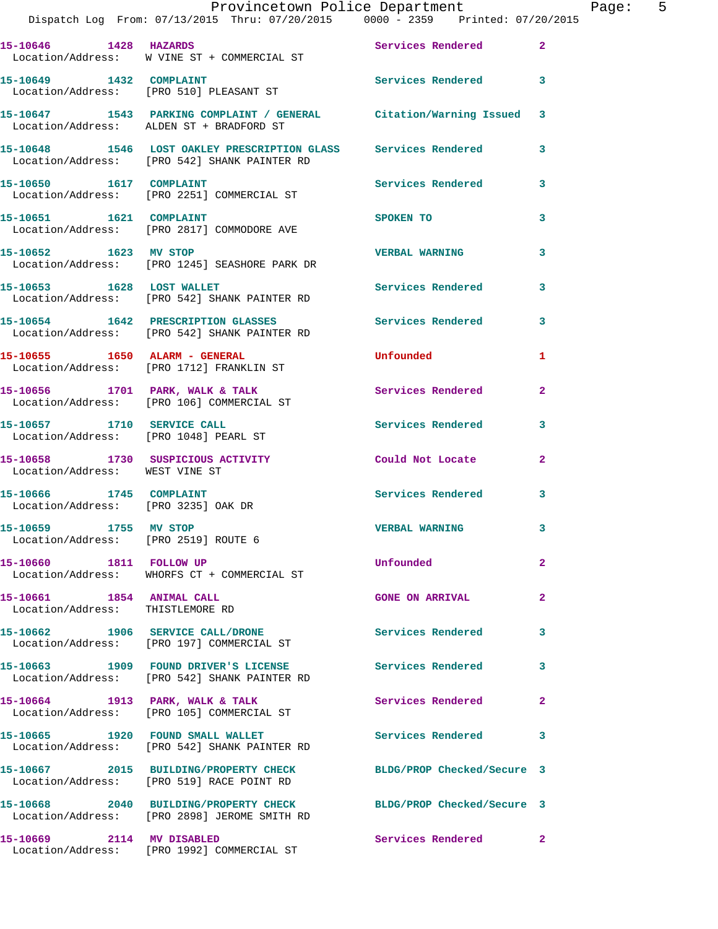|                                                                     | Provincetown Police Department<br>Dispatch Log From: 07/13/2015 Thru: 07/20/2015 0000 - 2359 Printed: 07/20/2015 |                            |                |
|---------------------------------------------------------------------|------------------------------------------------------------------------------------------------------------------|----------------------------|----------------|
| 15-10646 1428 HAZARDS                                               | Location/Address: W VINE ST + COMMERCIAL ST                                                                      | Services Rendered          | $\mathbf{2}$   |
| 15-10649 1432 COMPLAINT                                             | Location/Address: [PRO 510] PLEASANT ST                                                                          | <b>Services Rendered</b>   | 3              |
|                                                                     | 15-10647 1543 PARKING COMPLAINT / GENERAL Citation/Warning Issued<br>Location/Address: ALDEN ST + BRADFORD ST    |                            | 3              |
|                                                                     | 15-10648 1546 LOST OAKLEY PRESCRIPTION GLASS Services Rendered<br>Location/Address: [PRO 542] SHANK PAINTER RD   |                            | 3              |
| 15-10650 1617 COMPLAINT                                             | Location/Address: [PRO 2251] COMMERCIAL ST                                                                       | <b>Services Rendered</b>   | 3              |
| 15-10651    1621    COMPLAINT                                       | Location/Address: [PRO 2817] COMMODORE AVE                                                                       | SPOKEN TO                  | 3              |
| 15-10652 1623 MV STOP                                               | Location/Address: [PRO 1245] SEASHORE PARK DR                                                                    | <b>VERBAL WARNING</b>      | 3              |
|                                                                     | 15-10653 1628 LOST WALLET<br>Location/Address: [PRO 542] SHANK PAINTER RD                                        | Services Rendered          | 3              |
|                                                                     | 15-10654 1642 PRESCRIPTION GLASSES<br>Location/Address: [PRO 542] SHANK PAINTER RD                               | Services Rendered          | 3              |
|                                                                     | 15-10655 1650 ALARM - GENERAL<br>Location/Address: [PRO 1712] FRANKLIN ST                                        | Unfounded                  | 1              |
|                                                                     | 15-10656 1701 PARK, WALK & TALK<br>Location/Address: [PRO 106] COMMERCIAL ST                                     | Services Rendered          | $\mathbf{2}$   |
| Location/Address: [PRO 1048] PEARL ST                               | 15-10657 1710 SERVICE CALL                                                                                       | Services Rendered          | 3              |
| 15-10658 1730 SUSPICIOUS ACTIVITY<br>Location/Address: WEST VINE ST |                                                                                                                  | Could Not Locate           | $\overline{a}$ |
| 15-10666 1745 COMPLAINT<br>Location/Address: [PRO 3235] OAK DR      |                                                                                                                  | Services Rendered          | 3              |
| 15-10659 1755 MV STOP<br>Location/Address: [PRO 2519] ROUTE 6       |                                                                                                                  | <b>VERBAL WARNING</b>      | 3              |
| 15-10660 1811 FOLLOW UP                                             | Location/Address: WHORFS CT + COMMERCIAL ST                                                                      | Unfounded                  | $\overline{2}$ |
| 15-10661 1854 ANIMAL CALL<br>Location/Address: THISTLEMORE RD       |                                                                                                                  | <b>GONE ON ARRIVAL</b>     | $\mathbf{2}$   |
|                                                                     | 15-10662 1906 SERVICE CALL/DRONE<br>Location/Address: [PRO 197] COMMERCIAL ST                                    | Services Rendered          | 3              |
|                                                                     | 15-10663 1909 FOUND DRIVER'S LICENSE<br>Location/Address: [PRO 542] SHANK PAINTER RD                             | Services Rendered          | 3              |
|                                                                     | 15-10664 1913 PARK, WALK & TALK<br>Location/Address: [PRO 105] COMMERCIAL ST                                     | Services Rendered          | $\mathbf{2}$   |
|                                                                     | 15-10665 1920 FOUND SMALL WALLET<br>Location/Address: [PRO 542] SHANK PAINTER RD                                 | Services Rendered          | 3              |
|                                                                     | 15-10667 2015 BUILDING/PROPERTY CHECK<br>Location/Address: [PRO 519] RACE POINT RD                               | BLDG/PROP Checked/Secure 3 |                |
|                                                                     | 15-10668 2040 BUILDING/PROPERTY CHECK<br>Location/Address: [PRO 2898] JEROME SMITH RD                            | BLDG/PROP Checked/Secure 3 |                |
| 15-10669 2114 MV DISABLED                                           | Location/Address: [PRO 1992] COMMERCIAL ST                                                                       | Services Rendered          | $\mathbf{2}$   |

Page: 5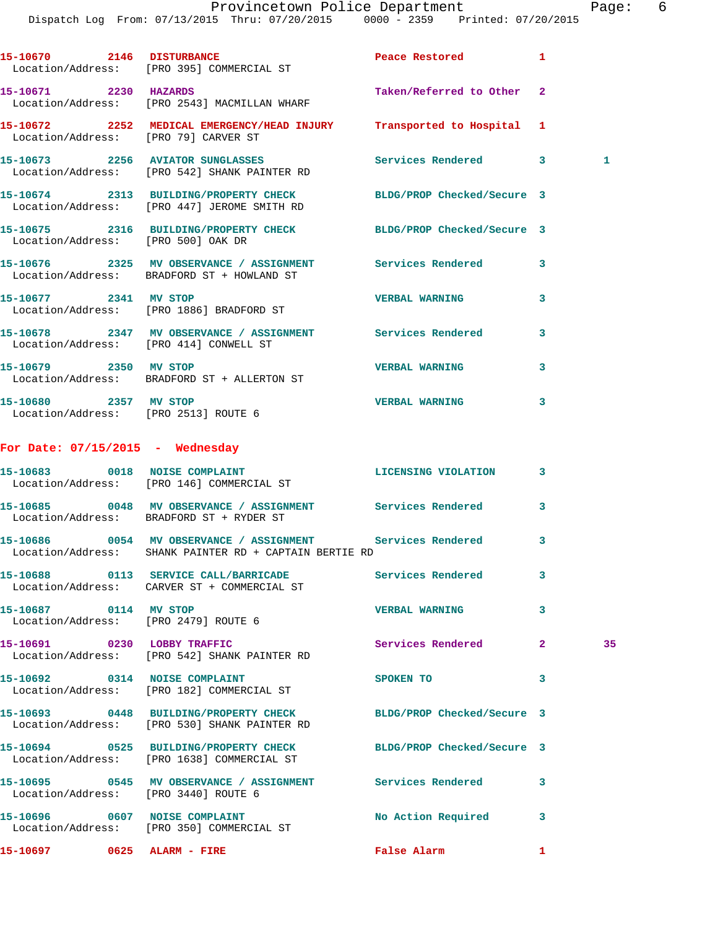Dispatch Log From: 07/13/2015 Thru: 07/20/2015 0000 - 2359 Printed: 07/20/2015

15-10670 2146 DISTURBANCE Peace Restored 1 Location/Address: [PRO 395] COMMERCIAL ST **15-10671 2230 HAZARDS Taken/Referred to Other 2**  Location/Address: [PRO 2543] MACMILLAN WHARF **15-10672 2252 MEDICAL EMERGENCY/HEAD INJURY Transported to Hospital 1**  Location/Address: [PRO 79] CARVER ST **15-10673 2256 AVIATOR SUNGLASSES Services Rendered 3 1**  Location/Address: [PRO 542] SHANK PAINTER RD **15-10674 2313 BUILDING/PROPERTY CHECK BLDG/PROP Checked/Secure 3**  Location/Address: [PRO 447] JEROME SMITH RD **15-10675 2316 BUILDING/PROPERTY CHECK BLDG/PROP Checked/Secure 3**  Location/Address: [PRO 500] OAK DR **15-10676 2325 MV OBSERVANCE / ASSIGNMENT Services Rendered 3**  Location/Address: BRADFORD ST + HOWLAND ST **15-10677 2341 MV STOP VERBAL WARNING 3**  Location/Address: [PRO 1886] BRADFORD ST **15-10678 2347 MV OBSERVANCE / ASSIGNMENT Services Rendered 3**  Location/Address: [PRO 414] CONWELL ST **15-10679 2350 MV STOP VERBAL WARNING 3**  Location/Address: BRADFORD ST + ALLERTON ST **15-10680 2357 MV STOP VERBAL WARNING 3**  Location/Address: [PRO 2513] ROUTE 6 **For Date: 07/15/2015 - Wednesday 15-10683 0018 NOISE COMPLAINT LICENSING VIOLATION 3**  Location/Address: [PRO 146] COMMERCIAL ST **15-10685 0048 MV OBSERVANCE / ASSIGNMENT Services Rendered 3**  Location/Address: BRADFORD ST + RYDER ST **15-10686 0054 MV OBSERVANCE / ASSIGNMENT Services Rendered 3**  Location/Address: SHANK PAINTER RD + CAPTAIN BERTIE RD **15-10688 0113 SERVICE CALL/BARRICADE Services Rendered 3**  Location/Address: CARVER ST + COMMERCIAL ST **15-10687 0114 MV STOP VERBAL WARNING 3**  Location/Address: [PRO 2479] ROUTE 6 **15-10691 0230 LOBBY TRAFFIC Services Rendered 2 35**  Location/Address: [PRO 542] SHANK PAINTER RD **15-10692 0314 NOISE COMPLAINT SPOKEN TO 3**  Location/Address: [PRO 182] COMMERCIAL ST **15-10693 0448 BUILDING/PROPERTY CHECK BLDG/PROP Checked/Secure 3**  Location/Address: [PRO 530] SHANK PAINTER RD **15-10694 0525 BUILDING/PROPERTY CHECK BLDG/PROP Checked/Secure 3**  Location/Address: [PRO 1638] COMMERCIAL ST **15-10695 0545 MV OBSERVANCE / ASSIGNMENT Services Rendered 3**  Location/Address: [PRO 3440] ROUTE 6 **15-10696 0607 NOISE COMPLAINT No Action Required 3**  Location/Address: [PRO 350] COMMERCIAL ST **15-10697 0625 ALARM - FIRE False Alarm 1**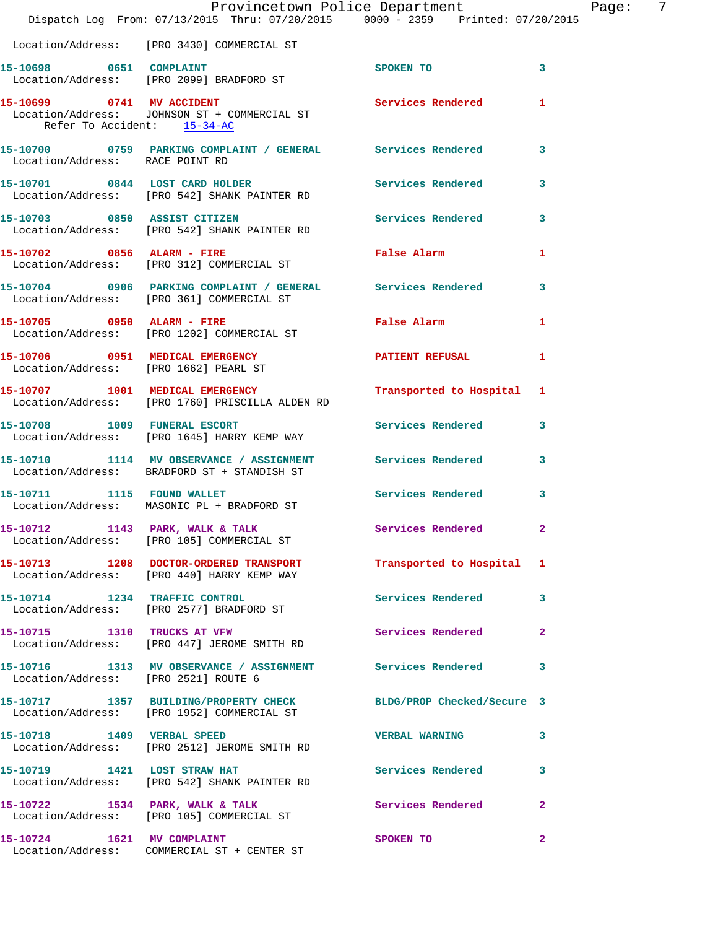|                                       | Dispatch Log From: 07/13/2015 Thru: 07/20/2015 0000 - 2359 Printed: 07/20/2015                                 | Provincetown Police Department              | Page: 7                 |
|---------------------------------------|----------------------------------------------------------------------------------------------------------------|---------------------------------------------|-------------------------|
|                                       | Location/Address: [PRO 3430] COMMERCIAL ST                                                                     |                                             |                         |
| 15-10698 0651 COMPLAINT               | Location/Address: [PRO 2099] BRADFORD ST                                                                       | <b>SPOKEN TO</b>                            | $\mathbf{3}$            |
| Refer To Accident: 15-34-AC           | 15-10699 0741 MV ACCIDENT<br>Location/Address: JOHNSON ST + COMMERCIAL ST                                      | Services Rendered 1                         |                         |
| Location/Address: RACE POINT RD       | 15-10700 0759 PARKING COMPLAINT / GENERAL Services Rendered 3                                                  |                                             |                         |
|                                       | 15-10701 0844 LOST CARD HOLDER<br>Location/Address: [PRO 542] SHANK PAINTER RD                                 | Services Rendered 3                         |                         |
|                                       | 15-10703 0850 ASSIST CITIZEN Services Rendered 3<br>Location/Address: [PRO 542] SHANK PAINTER RD               |                                             |                         |
|                                       | 15-10702 0856 ALARM - FIRE<br>Location/Address: [PRO 312] COMMERCIAL ST                                        | False Alarm <b>Exercise Service Service</b> | 1                       |
|                                       | 15-10704 0906 PARKING COMPLAINT / GENERAL Services Rendered<br>Location/Address: [PRO 361] COMMERCIAL ST       |                                             | 3                       |
|                                       | 15-10705 0950 ALARM - FIRE<br>Location/Address: [PRO 1202] COMMERCIAL ST                                       | False Alarm <b>Execute 19</b>               | 1                       |
| Location/Address: [PRO 1662] PEARL ST | 15-10706 0951 MEDICAL EMERGENCY                                                                                | PATIENT REFUSAL                             | 1                       |
|                                       | 15-10707 1001 MEDICAL EMERGENCY<br>Location/Address: [PRO 1760] PRISCILLA ALDEN RD                             | Transported to Hospital 1                   |                         |
|                                       | 15-10708 1009 FUNERAL ESCORT<br>Location/Address: [PRO 1645] HARRY KEMP WAY                                    | Services Rendered                           | 3                       |
|                                       | 15-10710 1114 MV OBSERVANCE / ASSIGNMENT Services Rendered 3<br>Location/Address: BRADFORD ST + STANDISH ST    |                                             |                         |
|                                       | 15-10711 1115 FOUND WALLET<br>Location/Address: MASONIC PL + BRADFORD ST                                       | Services Rendered                           | $\overline{\mathbf{3}}$ |
|                                       | 15-10712 1143 PARK, WALK & TALK<br>Location/Address: [PRO 105] COMMERCIAL ST                                   | Services Rendered 2                         |                         |
|                                       | 15-10713 1208 DOCTOR-ORDERED TRANSPORT<br>Location/Address: [PRO 440] HARRY KEMP WAY                           | Transported to Hospital 1                   |                         |
|                                       | 15-10714 1234 TRAFFIC CONTROL<br>Location/Address: [PRO 2577] BRADFORD ST                                      | Services Rendered 3                         |                         |
|                                       | 15-10715 1310 TRUCKS AT VFW<br>Location/Address: [PRO 447] JEROME SMITH RD                                     | Services Rendered                           | $\mathbf{2}$            |
| Location/Address: [PRO 2521] ROUTE 6  | 15-10716 1313 MV OBSERVANCE / ASSIGNMENT Services Rendered 3                                                   |                                             |                         |
|                                       | 15-10717 1357 BUILDING/PROPERTY CHECK BLDG/PROP Checked/Secure 3<br>Location/Address: [PRO 1952] COMMERCIAL ST |                                             |                         |
| 15-10718    1409    VERBAL SPEED      | Location/Address: [PRO 2512] JEROME SMITH RD                                                                   | <b>VERBAL WARNING</b>                       | 3                       |
|                                       | 15-10719 1421 LOST STRAW HAT<br>Location/Address: [PRO 542] SHANK PAINTER RD                                   | Services Rendered                           | 3                       |
|                                       | 15-10722 1534 PARK, WALK & TALK<br>Location/Address: [PRO 105] COMMERCIAL ST                                   | Services Rendered 2                         |                         |
|                                       | 15-10724 1621 MV COMPLAINT<br>Location/Address: COMMERCIAL ST + CENTER ST                                      | SPOKEN TO                                   | $\mathbf{2}$            |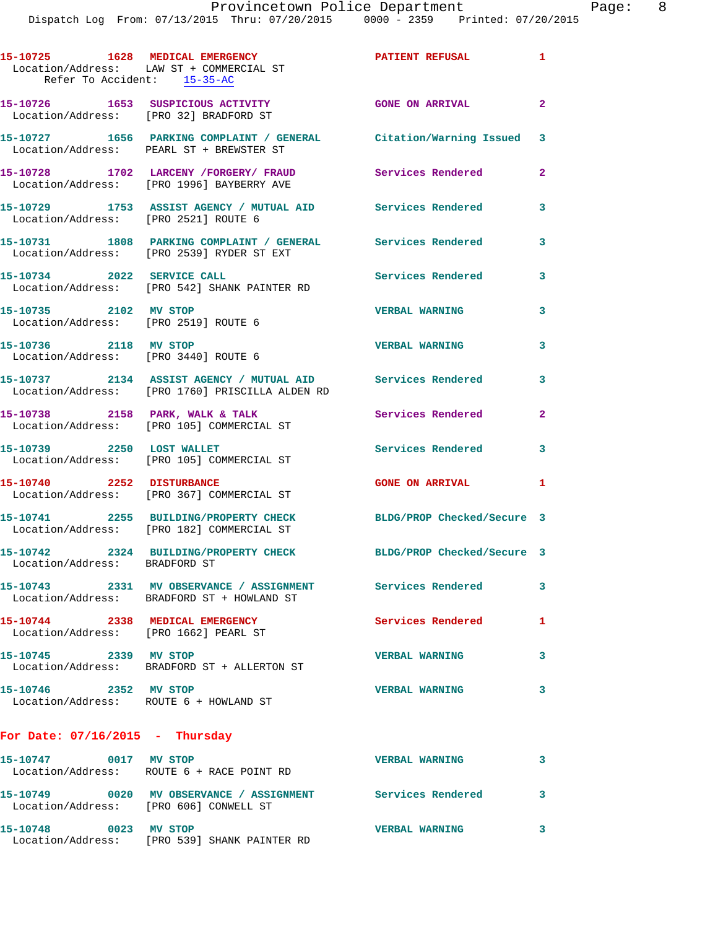|                               | 15-10725 1628 MEDICAL EMERGENCY<br>Location/Address: LAW ST + COMMERCIAL ST<br>Refer To Accident: 15-35-AC      | PATIENT REFUSAL 1          |                |
|-------------------------------|-----------------------------------------------------------------------------------------------------------------|----------------------------|----------------|
|                               | 15-10726 1653 SUSPICIOUS ACTIVITY<br>Location/Address: [PRO 32] BRADFORD ST                                     | <b>GONE ON ARRIVAL</b>     | $\overline{a}$ |
|                               | 15-10727 1656 PARKING COMPLAINT / GENERAL Citation/Warning Issued 3<br>Location/Address: PEARL ST + BREWSTER ST |                            |                |
|                               | 15-10728 1702 LARCENY /FORGERY/ FRAUD<br>Location/Address: [PRO 1996] BAYBERRY AVE                              | <b>Services Rendered</b>   | $\overline{a}$ |
|                               | 15-10729 1753 ASSIST AGENCY / MUTUAL AID Services Rendered<br>Location/Address: [PRO 2521] ROUTE 6              |                            | 3              |
|                               | 15-10731 1808 PARKING COMPLAINT / GENERAL Services Rendered<br>Location/Address: [PRO 2539] RYDER ST EXT        |                            | 3              |
|                               | 15-10734 2022 SERVICE CALL<br>Location/Address: [PRO 542] SHANK PAINTER RD                                      | <b>Services Rendered</b>   | 3              |
| 15-10735 2102 MV STOP         | Location/Address: [PRO 2519] ROUTE 6                                                                            | <b>VERBAL WARNING</b>      | 3              |
|                               | 15-10736 2118 MV STOP<br>Location/Address: [PRO 3440] ROUTE 6                                                   | <b>VERBAL WARNING</b>      | 3              |
|                               | 15-10737 2134 ASSIST AGENCY / MUTUAL AID<br>Location/Address: [PRO 1760] PRISCILLA ALDEN RD                     | Services Rendered          | 3              |
|                               | 15-10738 2158 PARK, WALK & TALK<br>Location/Address: [PRO 105] COMMERCIAL ST                                    | Services Rendered          | $\overline{2}$ |
| 15-10739 2250 LOST WALLET     | Location/Address: [PRO 105] COMMERCIAL ST                                                                       | <b>Services Rendered</b>   | 3              |
|                               | 15-10740 2252 DISTURBANCE<br>Location/Address: [PRO 367] COMMERCIAL ST                                          | <b>GONE ON ARRIVAL</b>     | 1              |
|                               | 15-10741 2255 BUILDING/PROPERTY CHECK<br>Location/Address: [PRO 182] COMMERCIAL ST                              | BLDG/PROP Checked/Secure 3 |                |
| Location/Address: BRADFORD ST | 15-10742 2324 BUILDING/PROPERTY CHECK BLDG/PROP Checked/Secure 3                                                |                            |                |
|                               | 15-10743 2331 MV OBSERVANCE / ASSIGNMENT Services Rendered<br>Location/Address: BRADFORD ST + HOWLAND ST        |                            | 3              |
|                               | 15-10744 2338 MEDICAL EMERGENCY<br>Location/Address: [PRO 1662] PEARL ST                                        | <b>Services Rendered</b>   | 1              |
| 15-10745 2339 MV STOP         | Location/Address: BRADFORD ST + ALLERTON ST                                                                     | <b>VERBAL WARNING</b>      | 3              |
| 15-10746 2352 MV STOP         | Location/Address: ROUTE 6 + HOWLAND ST                                                                          | <b>VERBAL WARNING</b>      | 3              |
|                               | For Date: $07/16/2015$ - Thursday                                                                               |                            |                |
|                               | 15-10747 0017 MV STOP<br>Location/Address: ROUTE 6 + RACE POINT RD                                              | <b>VERBAL WARNING</b>      | 3              |
|                               | 15-10749 0020 MV OBSERVANCE / ASSIGNMENT Services Rendered<br>Location/Address: [PRO 606] CONWELL ST            |                            | 3              |

**15-10748 0023 MV STOP VERBAL WARNING 3**  Location/Address: [PRO 539] SHANK PAINTER RD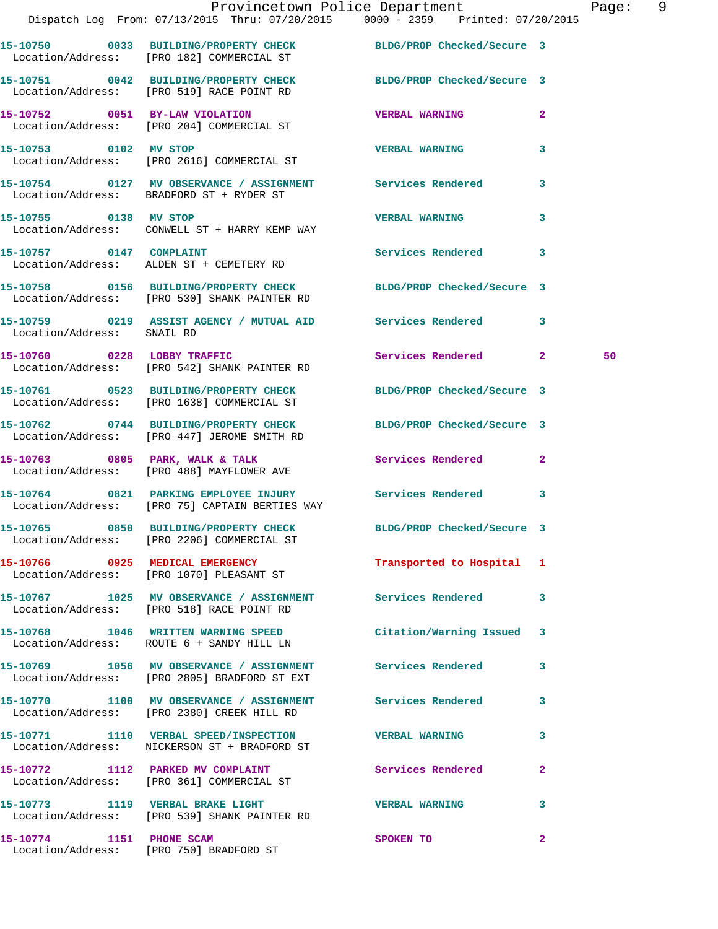|                            | Dispatch Log From: 07/13/2015 Thru: 07/20/2015 0000 - 2359 Printed: 07/20/2015                                   | Provincetown Police Department |              | Page: 9 |  |
|----------------------------|------------------------------------------------------------------------------------------------------------------|--------------------------------|--------------|---------|--|
|                            | 15-10750 0033 BUILDING/PROPERTY CHECK BLDG/PROP Checked/Secure 3<br>Location/Address: [PRO 182] COMMERCIAL ST    |                                |              |         |  |
|                            | 15-10751 0042 BUILDING/PROPERTY CHECK BLDG/PROP Checked/Secure 3<br>Location/Address: [PRO 519] RACE POINT RD    |                                |              |         |  |
|                            | 15-10752 0051 BY-LAW VIOLATION<br>Location/Address: [PRO 204] COMMERCIAL ST                                      | <b>VERBAL WARNING</b>          | $\mathbf{2}$ |         |  |
| 15-10753 0102 MV STOP      | Location/Address: [PRO 2616] COMMERCIAL ST                                                                       | <b>VERBAL WARNING</b>          | 3            |         |  |
|                            | 15-10754 0127 MV OBSERVANCE / ASSIGNMENT Services Rendered<br>Location/Address: BRADFORD ST + RYDER ST           |                                | $\mathbf{3}$ |         |  |
| 15-10755 0138 MV STOP      | Location/Address: CONWELL ST + HARRY KEMP WAY                                                                    | <b>VERBAL WARNING</b>          | 3            |         |  |
|                            | 15-10757 0147 COMPLAINT<br>Location/Address: ALDEN ST + CEMETERY RD                                              | Services Rendered 3            |              |         |  |
|                            | 15-10758 0156 BUILDING/PROPERTY CHECK BLDG/PROP Checked/Secure 3<br>Location/Address: [PRO 530] SHANK PAINTER RD |                                |              |         |  |
| Location/Address: SNAIL RD | 15-10759 0219 ASSIST AGENCY / MUTUAL AID Services Rendered 3                                                     |                                |              |         |  |
|                            | 15-10760 0228 LOBBY TRAFFIC<br>Location/Address: [PRO 542] SHANK PAINTER RD                                      | Services Rendered 2            |              | 50      |  |
|                            | 15-10761 0523 BUILDING/PROPERTY CHECK BLDG/PROP Checked/Secure 3<br>Location/Address: [PRO 1638] COMMERCIAL ST   |                                |              |         |  |
|                            | 15-10762 0744 BUILDING/PROPERTY CHECK BLDG/PROP Checked/Secure 3<br>Location/Address: [PRO 447] JEROME SMITH RD  |                                |              |         |  |
|                            | 15-10763 0805 PARK, WALK & TALK 1988 Services Rendered 2<br>Location/Address: [PRO 488] MAYFLOWER AVE            |                                |              |         |  |
|                            | 15-10764 0821 PARKING EMPLOYEE INJURY Services Rendered 3<br>Location/Address: [PRO 75] CAPTAIN BERTIES WAY      |                                |              |         |  |
|                            | 15-10765 0850 BUILDING/PROPERTY CHECK<br>Location/Address: [PRO 2206] COMMERCIAL ST                              | BLDG/PROP Checked/Secure 3     |              |         |  |
|                            | 15-10766 0925 MEDICAL EMERGENCY<br>Location/Address: [PRO 1070] PLEASANT ST                                      | Transported to Hospital 1      |              |         |  |
|                            | 15-10767 1025 MV OBSERVANCE / ASSIGNMENT Services Rendered 3<br>Location/Address: [PRO 518] RACE POINT RD        |                                |              |         |  |
|                            | 15-10768 1046 WRITTEN WARNING SPEED Citation/Warning Issued 3<br>Location/Address: ROUTE 6 + SANDY HILL LN       |                                |              |         |  |
|                            | Location/Address: [PRO 2805] BRADFORD ST EXT                                                                     |                                | 3            |         |  |
|                            | 15-10770 1100 MV OBSERVANCE / ASSIGNMENT Services Rendered<br>Location/Address: [PRO 2380] CREEK HILL RD         |                                | 3            |         |  |
|                            | 15-10771 1110 VERBAL SPEED/INSPECTION VERBAL WARNING<br>Location/Address: NICKERSON ST + BRADFORD ST             |                                | 3            |         |  |
|                            | 15-10772 1112 PARKED MV COMPLAINT Services Rendered<br>Location/Address: [PRO 361] COMMERCIAL ST                 |                                | $\mathbf{2}$ |         |  |
|                            | 15-10773 1119 VERBAL BRAKE LIGHT<br>Location/Address: [PRO 539] SHANK PAINTER RD                                 | VERBAL WARNING 3               |              |         |  |
| 15-10774 1151 PHONE SCAM   |                                                                                                                  | SPOKEN TO                      | $\mathbf{2}$ |         |  |

Location/Address: [PRO 750] BRADFORD ST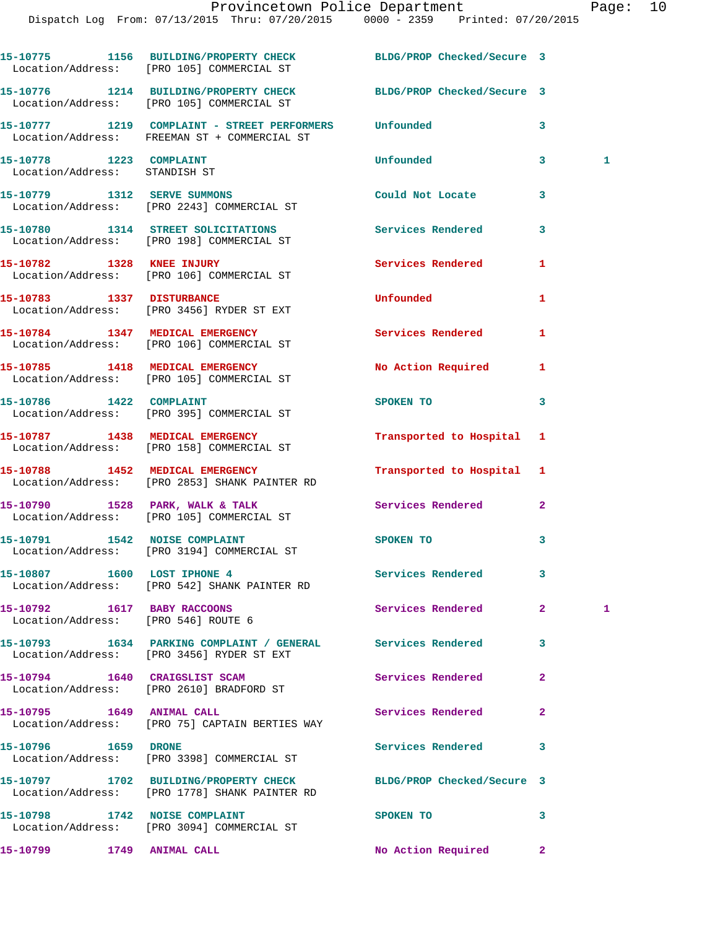|                                                                    | 15-10775 1156 BUILDING/PROPERTY CHECK BLDG/PROP Checked/Secure 3<br>Location/Address: [PRO 105] COMMERCIAL ST     |                          |                |              |
|--------------------------------------------------------------------|-------------------------------------------------------------------------------------------------------------------|--------------------------|----------------|--------------|
|                                                                    | 15-10776 1214 BUILDING/PROPERTY CHECK BLDG/PROP Checked/Secure 3<br>Location/Address: [PRO 105] COMMERCIAL ST     |                          |                |              |
|                                                                    | 15-10777 1219 COMPLAINT - STREET PERFORMERS Unfounded<br>Location/Address: FREEMAN ST + COMMERCIAL ST             |                          | 3              |              |
| 15-10778 1223 COMPLAINT<br>Location/Address: STANDISH ST           |                                                                                                                   | Unfounded                | 3              | 1            |
|                                                                    | 15-10779 1312 SERVE SUMMONS<br>Location/Address: [PRO 2243] COMMERCIAL ST                                         | Could Not Locate         | 3              |              |
|                                                                    | 15-10780 1314 STREET SOLICITATIONS<br>Location/Address: [PRO 198] COMMERCIAL ST                                   | Services Rendered        | 3              |              |
|                                                                    | 15-10782 1328 KNEE INJURY<br>Location/Address: [PRO 106] COMMERCIAL ST                                            | Services Rendered        | 1              |              |
|                                                                    | 15-10783 1337 DISTURBANCE<br>Location/Address: [PRO 3456] RYDER ST EXT                                            | Unfounded                | 1              |              |
|                                                                    | 15-10784 1347 MEDICAL EMERGENCY<br>Location/Address: [PRO 106] COMMERCIAL ST                                      | <b>Services Rendered</b> | 1              |              |
|                                                                    | 15-10785 1418 MEDICAL EMERGENCY<br>Location/Address: [PRO 105] COMMERCIAL ST                                      | No Action Required       | 1              |              |
|                                                                    | 15-10786    1422    COMPLAINT<br>Location/Address: [PRO 395] COMMERCIAL ST                                        | SPOKEN TO                | 3              |              |
|                                                                    | 15-10787 1438 MEDICAL EMERGENCY<br>Location/Address: [PRO 158] COMMERCIAL ST                                      | Transported to Hospital  | 1              |              |
|                                                                    | 15-10788 1452 MEDICAL EMERGENCY<br>Location/Address: [PRO 2853] SHANK PAINTER RD                                  | Transported to Hospital  | 1              |              |
|                                                                    | 15-10790 1528 PARK, WALK & TALK<br>Location/Address: [PRO 105] COMMERCIAL ST                                      | Services Rendered        | $\overline{a}$ |              |
|                                                                    | 15-10791 1542 NOISE COMPLAINT<br>Location/Address: [PRO 3194] COMMERCIAL ST                                       | SPOKEN TO                | 3              |              |
|                                                                    | 15-10807 1600 LOST IPHONE 4<br>Location/Address: [PRO 542] SHANK PAINTER RD                                       | Services Rendered        | 3              |              |
| 15-10792 1617 BABY RACCOONS<br>Location/Address: [PRO 546] ROUTE 6 |                                                                                                                   | Services Rendered        | 2 <sup>1</sup> | $\mathbf{1}$ |
|                                                                    | 15-10793 1634 PARKING COMPLAINT / GENERAL Services Rendered<br>Location/Address: [PRO 3456] RYDER ST EXT          |                          | 3              |              |
|                                                                    | 15-10794 1640 CRAIGSLIST SCAM<br>Location/Address: [PRO 2610] BRADFORD ST                                         | Services Rendered        | $\overline{a}$ |              |
|                                                                    | Location/Address: [PRO 75] CAPTAIN BERTIES WAY                                                                    | Services Rendered        | $\mathbf{2}$   |              |
| 15-10796 1659 DRONE                                                | Location/Address: [PRO 3398] COMMERCIAL ST                                                                        | Services Rendered        | 3              |              |
|                                                                    | 15-10797 1702 BUILDING/PROPERTY CHECK BLDG/PROP Checked/Secure 3<br>Location/Address: [PRO 1778] SHANK PAINTER RD |                          |                |              |
|                                                                    | 15-10798 1742 NOISE COMPLAINT<br>Location/Address: [PRO 3094] COMMERCIAL ST                                       | SPOKEN TO                | 3              |              |
| 15-10799 1749 ANIMAL CALL                                          |                                                                                                                   | No Action Required       | $\mathbf{2}^-$ |              |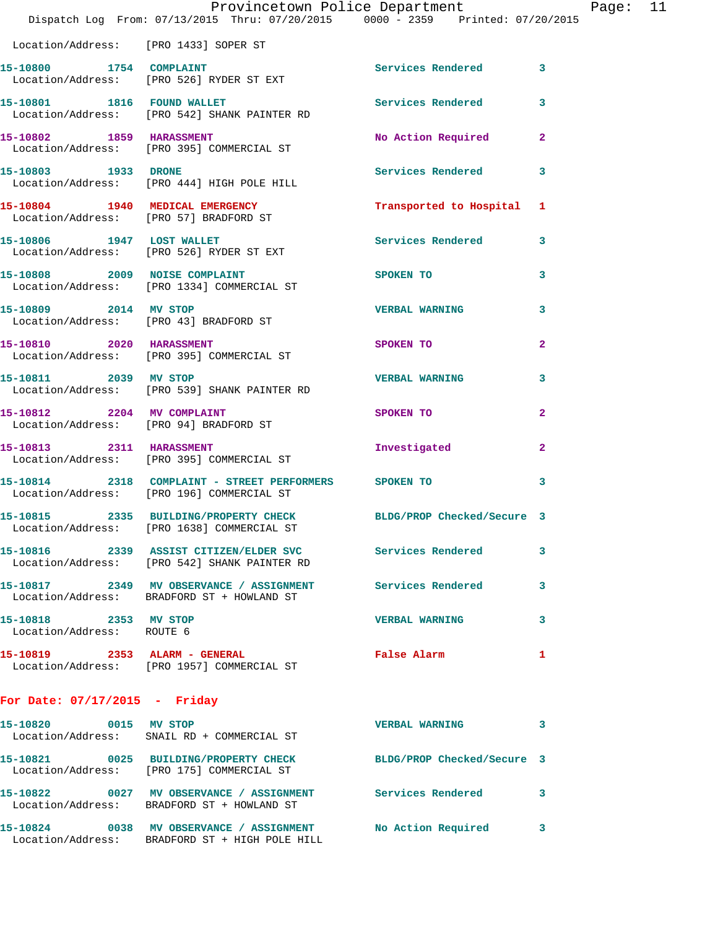|                                                    | Provincetown Police Department<br>Dispatch Log From: 07/13/2015 Thru: 07/20/2015 0000 - 2359 Printed: 07/20/2015 |                            |                |
|----------------------------------------------------|------------------------------------------------------------------------------------------------------------------|----------------------------|----------------|
| Location/Address: [PRO 1433] SOPER ST              |                                                                                                                  |                            |                |
|                                                    | 15-10800 1754 COMPLAINT<br>Location/Address: [PRO 526] RYDER ST EXT                                              | Services Rendered          | 3              |
| 15-10801 1816 FOUND WALLET                         | Location/Address: [PRO 542] SHANK PAINTER RD                                                                     | <b>Services Rendered</b>   | 3              |
|                                                    | 15-10802 1859 HARASSMENT<br>Location/Address: [PRO 395] COMMERCIAL ST                                            | No Action Required         | $\mathbf{2}$   |
| 15-10803 1933 DRONE                                | Location/Address: [PRO 444] HIGH POLE HILL                                                                       | Services Rendered          | 3              |
|                                                    | 15-10804 1940 MEDICAL EMERGENCY<br>Location/Address: [PRO 57] BRADFORD ST                                        | Transported to Hospital    | 1              |
|                                                    | 15-10806 1947 LOST WALLET<br>Location/Address: [PRO 526] RYDER ST EXT                                            | Services Rendered          | 3              |
|                                                    | 15-10808 2009 NOISE COMPLAINT<br>Location/Address: [PRO 1334] COMMERCIAL ST                                      | SPOKEN TO                  | 3              |
| 15-10809 2014 MV STOP                              | Location/Address: [PRO 43] BRADFORD ST                                                                           | <b>VERBAL WARNING</b>      | 3              |
| 15-10810 2020 HARASSMENT                           | Location/Address: [PRO 395] COMMERCIAL ST                                                                        | <b>SPOKEN TO</b>           | $\overline{a}$ |
| 15-10811 2039 MV STOP                              | Location/Address: [PRO 539] SHANK PAINTER RD                                                                     | <b>VERBAL WARNING</b>      | 3              |
| 15-10812 2204 MV COMPLAINT                         | Location/Address: [PRO 94] BRADFORD ST                                                                           | SPOKEN TO                  | $\overline{a}$ |
|                                                    | 15-10813 2311 HARASSMENT<br>Location/Address: [PRO 395] COMMERCIAL ST                                            | Investigated               | 2              |
|                                                    | 15-10814 2318 COMPLAINT - STREET PERFORMERS SPOKEN TO<br>Location/Address: [PRO 196] COMMERCIAL ST               |                            | 3              |
|                                                    | 15-10815 2335 BUILDING/PROPERTY CHECK<br>Location/Address: [PRO 1638] COMMERCIAL ST                              | BLDG/PROP Checked/Secure 3 |                |
|                                                    |                                                                                                                  | Services Rendered          | 3              |
|                                                    | 15-10817 2349 MV OBSERVANCE / ASSIGNMENT<br>Location/Address: BRADFORD ST + HOWLAND ST                           | Services Rendered          | 3              |
| 15-10818 2353 MV STOP<br>Location/Address: ROUTE 6 |                                                                                                                  | <b>VERBAL WARNING</b>      | 3              |
|                                                    | 15-10819 2353 ALARM - GENERAL<br>Location/Address: [PRO 1957] COMMERCIAL ST                                      | False Alarm                | 1              |
| For Date: $07/17/2015$ - Friday                    |                                                                                                                  |                            |                |

**15-10820 0015 MV STOP VERBAL WARNING 3**  Location/Address: SNAIL RD + COMMERCIAL ST **15-10821 0025 BUILDING/PROPERTY CHECK BLDG/PROP Checked/Secure 3**  Location/Address: [PRO 175] COMMERCIAL ST **15-10822 0027 MV OBSERVANCE / ASSIGNMENT Services Rendered 3**  Location/Address: BRADFORD ST + HOWLAND ST **15-10824 0038 MV OBSERVANCE / ASSIGNMENT No Action Required 3**  Location/Address: BRADFORD ST + HIGH POLE HILL

Page:  $11$ <br> $215$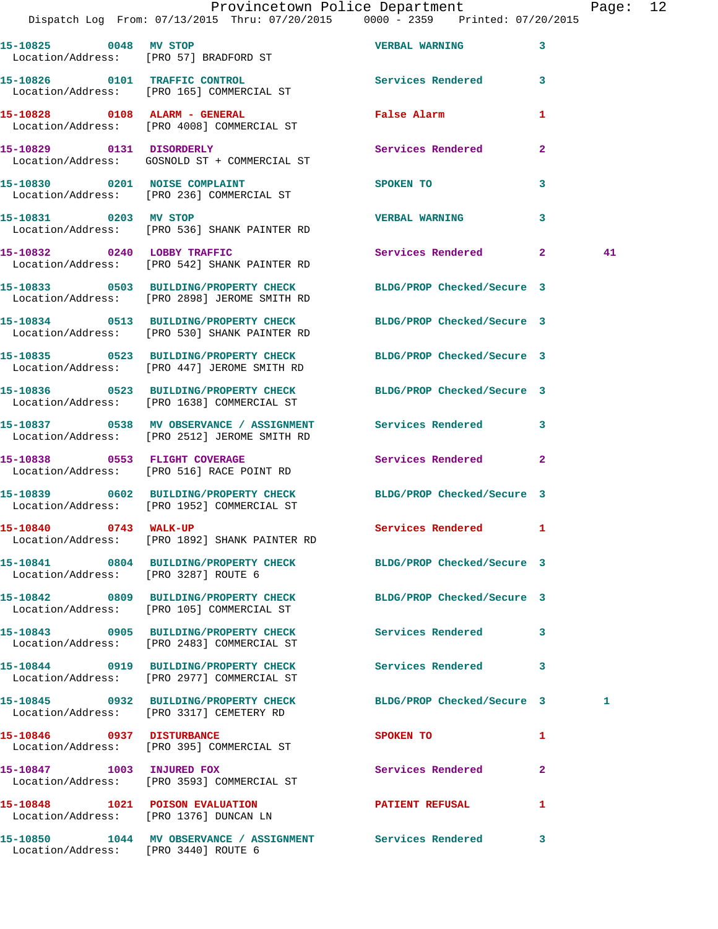|                                      | Dispatch Log From: 07/13/2015 Thru: 07/20/2015 0000 - 2359 Printed: 07/20/2015                                   | Provincetown Police Department                      |              | Page: 12 |  |
|--------------------------------------|------------------------------------------------------------------------------------------------------------------|-----------------------------------------------------|--------------|----------|--|
|                                      | 15-10825 0048 MV STOP<br>Location/Address: [PRO 57] BRADFORD ST                                                  | <b>VERBAL WARNING</b>                               | 3            |          |  |
|                                      | 15-10826 0101 TRAFFIC CONTROL<br>Location/Address: [PRO 165] COMMERCIAL ST                                       | Services Rendered 3                                 |              |          |  |
|                                      | 15-10828 0108 ALARM - GENERAL<br>Location/Address: [PRO 4008] COMMERCIAL ST                                      | False Alarm <b>Exercise Service Service Service</b> | 1            |          |  |
|                                      | 15-10829 0131 DISORDERLY<br>Location/Address: GOSNOLD ST + COMMERCIAL ST                                         | Services Rendered                                   | $\mathbf{2}$ |          |  |
|                                      | 15-10830 0201 NOISE COMPLAINT<br>Location/Address: [PRO 236] COMMERCIAL ST                                       | SPOKEN TO                                           | 3            |          |  |
| 15-10831 0203 MV STOP                | Location/Address: [PRO 536] SHANK PAINTER RD                                                                     | <b>VERBAL WARNING</b>                               | 3            |          |  |
|                                      | 15-10832 0240 LOBBY TRAFFIC<br>Location/Address: [PRO 542] SHANK PAINTER RD                                      | Services Rendered 2                                 |              | 41       |  |
|                                      | 15-10833 0503 BUILDING/PROPERTY CHECK BLDG/PROP Checked/Secure 3<br>Location/Address: [PRO 2898] JEROME SMITH RD |                                                     |              |          |  |
|                                      | 15-10834 0513 BUILDING/PROPERTY CHECK BLDG/PROP Checked/Secure 3<br>Location/Address: [PRO 530] SHANK PAINTER RD |                                                     |              |          |  |
|                                      | 15-10835 0523 BUILDING/PROPERTY CHECK BLDG/PROP Checked/Secure 3<br>Location/Address: [PRO 447] JEROME SMITH RD  |                                                     |              |          |  |
|                                      | 15-10836 0523 BUILDING/PROPERTY CHECK BLDG/PROP Checked/Secure 3<br>Location/Address: [PRO 1638] COMMERCIAL ST   |                                                     |              |          |  |
|                                      | 15-10837 0538 MV OBSERVANCE / ASSIGNMENT Services Rendered<br>Location/Address: [PRO 2512] JEROME SMITH RD       |                                                     | $\mathbf{3}$ |          |  |
| 15-10838 0553 FLIGHT COVERAGE        | Location/Address: [PRO 516] RACE POINT RD                                                                        | Services Rendered                                   | $\mathbf{2}$ |          |  |
|                                      | 15-10839 0602 BUILDING/PROPERTY CHECK BLDG/PROP Checked/Secure 3<br>Location/Address: [PRO 1952] COMMERCIAL ST   |                                                     |              |          |  |
| 15-10840 0743 WALK-UP                | Location/Address: [PRO 1892] SHANK PAINTER RD                                                                    | Services Rendered 1                                 |              |          |  |
| Location/Address: [PRO 3287] ROUTE 6 | 15-10841 0804 BUILDING/PROPERTY CHECK BLDG/PROP Checked/Secure 3                                                 |                                                     |              |          |  |
|                                      | 15-10842 0809 BUILDING/PROPERTY CHECK<br>Location/Address: [PRO 105] COMMERCIAL ST                               | BLDG/PROP Checked/Secure 3                          |              |          |  |
|                                      | 15-10843 0905 BUILDING/PROPERTY CHECK Services Rendered<br>Location/Address: [PRO 2483] COMMERCIAL ST            |                                                     | 3            |          |  |
|                                      | 15-10844 0919 BUILDING/PROPERTY CHECK Services Rendered 3<br>Location/Address: [PRO 2977] COMMERCIAL ST          |                                                     |              |          |  |
|                                      | 15-10845 0932 BUILDING/PROPERTY CHECK<br>Location/Address: [PRO 3317] CEMETERY RD                                | BLDG/PROP Checked/Secure 3                          |              | 1        |  |
| 15-10846 0937 DISTURBANCE            | Location/Address: [PRO 395] COMMERCIAL ST                                                                        | SPOKEN TO                                           | 1            |          |  |
|                                      | 15-10847 1003 INJURED FOX<br>Location/Address: [PRO 3593] COMMERCIAL ST                                          | Services Rendered                                   | 2            |          |  |
|                                      | 15-10848 1021 POISON EVALUATION<br>Location/Address: [PRO 1376] DUNCAN LN                                        | <b>PATIENT REFUSAL</b>                              | 1            |          |  |
|                                      | 15-10850 1044 MV OBSERVANCE / ASSIGNMENT Services Rendered                                                       |                                                     | 3            |          |  |

Location/Address: [PRO 3440] ROUTE 6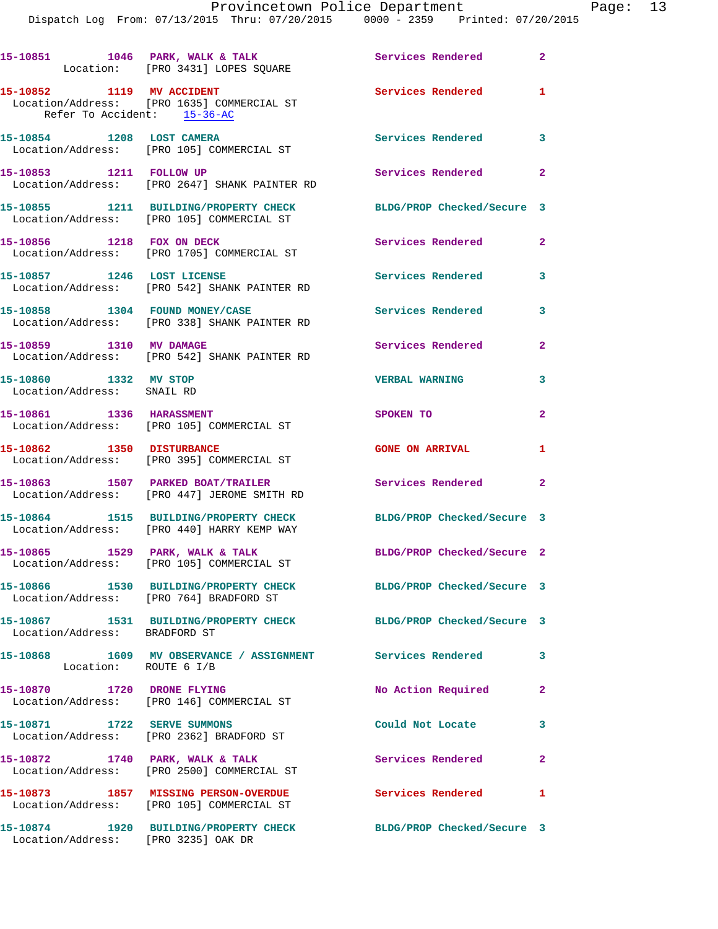|                                                     | 15-10851 1046 PARK, WALK & TALK<br>Location: [PRO 3431] LOPES SQUARE                                        | Services Rendered 2        |                |
|-----------------------------------------------------|-------------------------------------------------------------------------------------------------------------|----------------------------|----------------|
| 15-10852 1119 MV ACCIDENT                           | Location/Address: [PRO 1635] COMMERCIAL ST<br>Refer To Accident: 15-36-AC                                   | Services Rendered 1        |                |
|                                                     | 15-10854 1208 LOST CAMERA<br>Location/Address: [PRO 105] COMMERCIAL ST                                      | Services Rendered 3        |                |
| 15-10853 1211 FOLLOW UP                             | Location/Address: [PRO 2647] SHANK PAINTER RD                                                               | Services Rendered 2        |                |
|                                                     | 15-10855 1211 BUILDING/PROPERTY CHECK<br>Location/Address: [PRO 105] COMMERCIAL ST                          | BLDG/PROP Checked/Secure 3 |                |
| 15-10856 1218 FOX ON DECK                           | Location/Address: [PRO 1705] COMMERCIAL ST                                                                  | Services Rendered          | $\mathbf{2}$   |
|                                                     | 15-10857 1246 LOST LICENSE<br>Location/Address: [PRO 542] SHANK PAINTER RD                                  | Services Rendered          | 3              |
| 15-10858 1304 FOUND MONEY/CASE                      | Location/Address: [PRO 338] SHANK PAINTER RD                                                                | Services Rendered          | 3              |
| 15-10859 1310 MV DAMAGE                             | Location/Address: [PRO 542] SHANK PAINTER RD                                                                | Services Rendered          | $\overline{2}$ |
| 15-10860 1332 MV STOP<br>Location/Address: SNAIL RD |                                                                                                             | <b>VERBAL WARNING</b>      | 3              |
| 15-10861 1336 HARASSMENT                            | Location/Address: [PRO 105] COMMERCIAL ST                                                                   | <b>SPOKEN TO</b>           | $\mathbf{2}$   |
| 15-10862 1350 DISTURBANCE                           | Location/Address: [PRO 395] COMMERCIAL ST                                                                   | <b>GONE ON ARRIVAL</b>     | 1              |
|                                                     | 15-10863 1507 PARKED BOAT/TRAILER<br>Location/Address: [PRO 447] JEROME SMITH RD                            | Services Rendered 2        |                |
|                                                     | 15-10864 1515 BUILDING/PROPERTY CHECK<br>Location/Address: [PRO 440] HARRY KEMP WAY                         | BLDG/PROP Checked/Secure 3 |                |
| 15-10865 1529 PARK, WALK & TALK                     | Location/Address: [PRO 105] COMMERCIAL ST                                                                   | BLDG/PROP Checked/Secure 2 |                |
|                                                     | 15-10866 1530 BUILDING/PROPERTY CHECK BLDG/PROP Checked/Secure 3<br>Location/Address: [PRO 764] BRADFORD ST |                            |                |
| Location/Address: BRADFORD ST                       | 15-10867 1531 BUILDING/PROPERTY CHECK                                                                       | BLDG/PROP Checked/Secure 3 |                |
| Location: ROUTE 6 I/B                               | 15-10868 1609 MV OBSERVANCE / ASSIGNMENT Services Rendered                                                  |                            | 3              |
| 15-10870 1720 DRONE FLYING                          | Location/Address: [PRO 146] COMMERCIAL ST                                                                   | No Action Required         | $\overline{2}$ |
| 15-10871 1722 SERVE SUMMONS                         | Location/Address: [PRO 2362] BRADFORD ST                                                                    | Could Not Locate           | 3              |
|                                                     | 15-10872 1740 PARK, WALK & TALK<br>Location/Address: [PRO 2500] COMMERCIAL ST                               | Services Rendered          | $\mathbf{2}$   |
|                                                     | 15-10873 1857 MISSING PERSON-OVERDUE<br>Location/Address: [PRO 105] COMMERCIAL ST                           | Services Rendered          | 1              |
| Location/Address: [PRO 3235] OAK DR                 | 15-10874 1920 BUILDING/PROPERTY CHECK                                                                       | BLDG/PROP Checked/Secure 3 |                |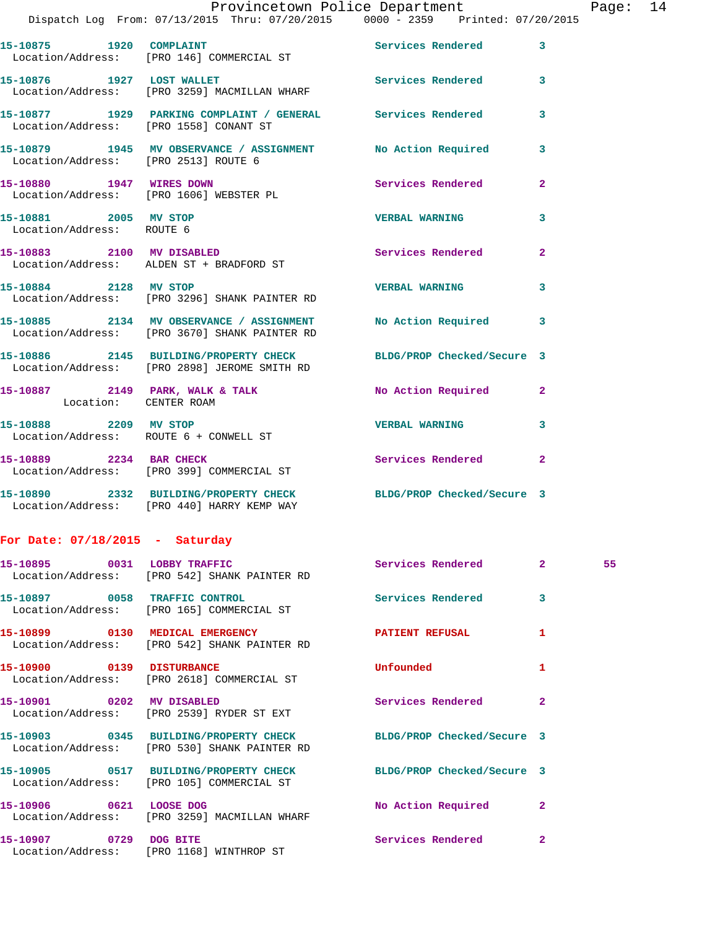|                                                    | Provincetown Police Department                                                                                   |                         |                | Page |
|----------------------------------------------------|------------------------------------------------------------------------------------------------------------------|-------------------------|----------------|------|
|                                                    | Dispatch Log From: 07/13/2015 Thru: 07/20/2015 0000 - 2359 Printed: 07/20/2015                                   |                         |                |      |
|                                                    | 15-10875 1920 COMPLAINT<br>Location/Address: [PRO 146] COMMERCIAL ST                                             | Services Rendered 3     |                |      |
| 15-10876 1927 LOST WALLET                          | Location/Address: [PRO 3259] MACMILLAN WHARF                                                                     | Services Rendered 3     |                |      |
|                                                    | 15-10877 1929 PARKING COMPLAINT / GENERAL Services Rendered<br>Location/Address: [PRO 1558] CONANT ST            |                         | 3              |      |
| Location/Address: [PRO 2513] ROUTE 6               | 15-10879 1945 MV OBSERVANCE / ASSIGNMENT No Action Required 3                                                    |                         |                |      |
|                                                    | 15-10880 1947 WIRES DOWN<br>Location/Address: [PRO 1606] WEBSTER PL                                              | Services Rendered 2     |                |      |
| 15-10881 2005 MV STOP<br>Location/Address: ROUTE 6 |                                                                                                                  | <b>VERBAL WARNING</b> 3 |                |      |
|                                                    | 15-10883 2100 MV DISABLED<br>Location/Address: ALDEN ST + BRADFORD ST                                            | Services Rendered       | $\overline{2}$ |      |
|                                                    | 15-10884 2128 MV STOP<br>Location/Address: [PRO 3296] SHANK PAINTER RD                                           | <b>VERBAL WARNING</b>   | 3              |      |
|                                                    | 15-10885 2134 MV OBSERVANCE / ASSIGNMENT No Action Required 3<br>Location/Address: [PRO 3670] SHANK PAINTER RD   |                         |                |      |
|                                                    | 15-10886 2145 BUILDING/PROPERTY CHECK BLDG/PROP Checked/Secure 3<br>Location/Address: [PRO 2898] JEROME SMITH RD |                         |                |      |
| Location: CENTER ROAM                              | 15-10887 2149 PARK, WALK & TALK NO Action Required 2                                                             |                         |                |      |
|                                                    | 15-10888 2209 MV STOP<br>Location/Address: ROUTE 6 + CONWELL ST                                                  | <b>VERBAL WARNING</b>   | $\mathbf{3}$   |      |
|                                                    | 15-10889 2234 BAR CHECK<br>Location/Address: [PRO 399] COMMERCIAL ST                                             | Services Rendered 2     |                |      |
|                                                    | 15-10890 2332 BUILDING/PROPERTY CHECK BLDG/PROP Checked/Secure 3<br>Location/Address: [PRO 440] HARRY KEMP WAY   |                         |                |      |
| For Date: $07/18/2015$ - Saturday                  |                                                                                                                  |                         |                |      |
|                                                    | 15-10895 0031 LOBBY TRAFFIC                                                                                      | Services Rendered 2 55  |                |      |

|                        | Location/Address: [PRO 542] SHANK PAINTER RD                                                                               |                          |                         |
|------------------------|----------------------------------------------------------------------------------------------------------------------------|--------------------------|-------------------------|
|                        | 15-10897 0058 TRAFFIC CONTROL<br>Location/Address: [PRO 165] COMMERCIAL ST                                                 | <b>Services Rendered</b> | 3                       |
|                        | 15-10899 0130 MEDICAL EMERGENCY <b>ALCOREGIST CONTRACT PATTENT REFUSAL</b><br>Location/Address: [PRO 542] SHANK PAINTER RD |                          |                         |
|                        | 15-10900 0139 DISTURBANCE<br>Location/Address: [PRO 2618] COMMERCIAL ST                                                    | Unfounded                | 1                       |
|                        | 15-10901 0202 MV DISABLED<br>Location/Address: [PRO 2539] RYDER ST EXT                                                     | <b>Services Rendered</b> | $\overline{2}$          |
|                        | 15-10903 0345 BUILDING/PROPERTY CHECK BLDG/PROP Checked/Secure 3<br>Location/Address: [PRO 530] SHANK PAINTER RD           |                          |                         |
|                        | 15-10905 0517 BUILDING/PROPERTY CHECK BLDG/PROP Checked/Secure 3<br>Location/Address: [PRO 105] COMMERCIAL ST              |                          |                         |
|                        | 15-10906 0621 LOOSE DOG<br>Location/Address: [PRO 3259] MACMILLAN WHARF                                                    | No Action Required       | $\overline{2}$          |
| 15-10907 0729 DOG BITE | Location/Address: [PRO 1168] WINTHROP ST                                                                                   | <b>Services Rendered</b> | $\overline{\mathbf{2}}$ |

Page: 14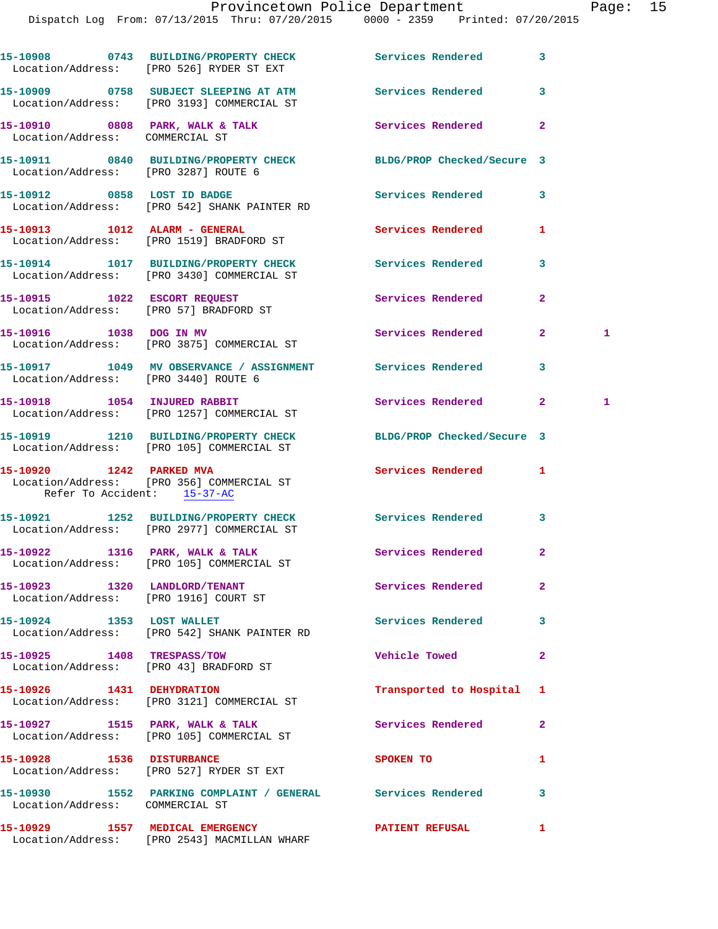|                                                         | 15-10908 0743 BUILDING/PROPERTY CHECK Services Rendered<br>Location/Address: [PRO 526] RYDER ST EXT   |                            | 3              |    |
|---------------------------------------------------------|-------------------------------------------------------------------------------------------------------|----------------------------|----------------|----|
|                                                         | 15-10909 0758 SUBJECT SLEEPING AT ATM<br>Location/Address: [PRO 3193] COMMERCIAL ST                   | <b>Services Rendered</b>   | 3              |    |
| Location/Address: COMMERCIAL ST                         | 15-10910 0808 PARK, WALK & TALK                                                                       | <b>Services Rendered</b>   | $\mathbf{2}$   |    |
| Location/Address: [PRO 3287] ROUTE 6                    | 15-10911 0840 BUILDING/PROPERTY CHECK BLDG/PROP Checked/Secure 3                                      |                            |                |    |
|                                                         | 15-10912 0858 LOST ID BADGE<br>Location/Address: [PRO 542] SHANK PAINTER RD                           | <b>Services Rendered</b>   | 3              |    |
|                                                         | 15-10913 1012 ALARM - GENERAL<br>Location/Address: [PRO 1519] BRADFORD ST                             | <b>Services Rendered</b>   | 1              |    |
|                                                         | 15-10914 1017 BUILDING/PROPERTY CHECK Services Rendered<br>Location/Address: [PRO 3430] COMMERCIAL ST |                            | 3              |    |
|                                                         | 15-10915 1022 ESCORT REQUEST<br>Location/Address: [PRO 57] BRADFORD ST                                | Services Rendered          | $\overline{2}$ |    |
| 15-10916 1038 DOG IN MV                                 | Location/Address: [PRO 3875] COMMERCIAL ST                                                            | Services Rendered          | $\mathbf{2}^-$ | 1. |
| Location/Address: [PRO 3440] ROUTE 6                    | 15-10917 1049 MV OBSERVANCE / ASSIGNMENT Services Rendered                                            |                            | 3              |    |
|                                                         | 15-10918 1054 INJURED RABBIT<br>Location/Address: [PRO 1257] COMMERCIAL ST                            | Services Rendered          | $\mathbf{2}$   | 1  |
|                                                         | 15-10919 1210 BUILDING/PROPERTY CHECK<br>Location/Address: [PRO 105] COMMERCIAL ST                    | BLDG/PROP Checked/Secure 3 |                |    |
| 15-10920 1242 PARKED MVA<br>Refer To Accident: 15-37-AC | Location/Address: [PRO 356] COMMERCIAL ST                                                             | Services Rendered          | 1              |    |
|                                                         | 15-10921 1252 BUILDING/PROPERTY CHECK Services Rendered<br>Location/Address: [PRO 2977] COMMERCIAL ST |                            | 3              |    |
| 15-10922 1316 PARK, WALK & TALK                         | Location/Address: [PRO 105] COMMERCIAL ST                                                             | Services Rendered          | $\mathbf{2}$   |    |
|                                                         | 15-10923 1320 LANDLORD/TENANT<br>Location/Address: [PRO 1916] COURT ST                                | Services Rendered          | $\mathbf{2}$   |    |
| 15-10924 1353 LOST WALLET                               | Location/Address: [PRO 542] SHANK PAINTER RD                                                          | <b>Services Rendered</b>   | 3              |    |
| 15-10925 1408 TRESPASS/TOW                              | Location/Address: [PRO 43] BRADFORD ST                                                                | <b>Vehicle Towed</b>       | $\mathbf{2}$   |    |
| 15-10926 1431 DEHYDRATION                               | Location/Address: [PRO 3121] COMMERCIAL ST                                                            | Transported to Hospital    | ı              |    |
|                                                         | 15-10927 1515 PARK, WALK & TALK<br>Location/Address: [PRO 105] COMMERCIAL ST                          | Services Rendered          | 2              |    |
|                                                         | 15-10928 1536 DISTURBANCE<br>Location/Address: [PRO 527] RYDER ST EXT                                 | SPOKEN TO                  | 1              |    |
| Location/Address: COMMERCIAL ST                         | 15-10930 1552 PARKING COMPLAINT / GENERAL Services Rendered                                           |                            | 3              |    |
|                                                         | 15-10929 1557 MEDICAL EMERGENCY<br>Location/Address: [PRO 2543] MACMILLAN WHARF                       | <b>PATIENT REFUSAL</b>     | 1              |    |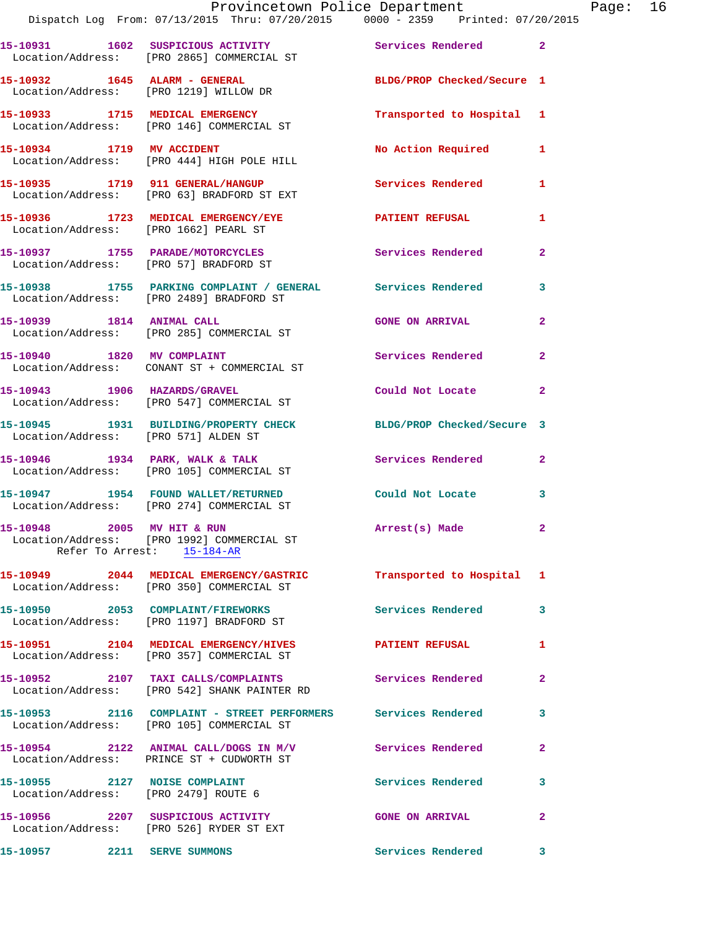|                                       | Provincetown Police Department                                                                             |                            |                |
|---------------------------------------|------------------------------------------------------------------------------------------------------------|----------------------------|----------------|
|                                       | Dispatch Log From: 07/13/2015 Thru: 07/20/2015 0000 - 2359 Printed: 07/20/2015                             |                            |                |
|                                       | 15-10931 1602 SUSPICIOUS ACTIVITY<br>Location/Address: [PRO 2865] COMMERCIAL ST                            | Services Rendered 2        |                |
|                                       | 15-10932 1645 ALARM - GENERAL<br>Location/Address: [PRO 1219] WILLOW DR                                    | BLDG/PROP Checked/Secure 1 |                |
|                                       | 15-10933 1715 MEDICAL EMERGENCY<br>Location/Address: [PRO 146] COMMERCIAL ST                               | Transported to Hospital    | 1              |
|                                       | 15-10934 1719 MV ACCIDENT<br>Location/Address: [PRO 444] HIGH POLE HILL                                    | No Action Required         | 1              |
|                                       | 15-10935 1719 911 GENERAL/HANGUP<br>Location/Address: [PRO 63] BRADFORD ST EXT                             | <b>Services Rendered</b>   | 1              |
| Location/Address: [PRO 1662] PEARL ST | 15-10936 1723 MEDICAL EMERGENCY/EYE PATIENT REFUSAL                                                        |                            | 1              |
|                                       | 15-10937 1755 PARADE/MOTORCYCLES<br>Location/Address: [PRO 57] BRADFORD ST                                 | <b>Services Rendered</b>   | $\overline{2}$ |
|                                       | 15-10938 1755 PARKING COMPLAINT / GENERAL Services Rendered<br>Location/Address: [PRO 2489] BRADFORD ST    |                            | 3              |
| 15-10939 1814 ANIMAL CALL             | Location/Address: [PRO 285] COMMERCIAL ST                                                                  | <b>GONE ON ARRIVAL</b>     | $\overline{2}$ |
|                                       | 15-10940 1820 MV COMPLAINT<br>Location/Address: CONANT ST + COMMERCIAL ST                                  | Services Rendered          | $\overline{a}$ |
| 15-10943 1906 HAZARDS/GRAVEL          | Location/Address: [PRO 547] COMMERCIAL ST                                                                  | Could Not Locate           | $\overline{2}$ |
| Location/Address: [PRO 571] ALDEN ST  | 15-10945 1931 BUILDING/PROPERTY CHECK                                                                      | BLDG/PROP Checked/Secure 3 |                |
|                                       | 15-10946 1934 PARK, WALK & TALK<br>Location/Address: [PRO 105] COMMERCIAL ST                               | Services Rendered          | $\overline{2}$ |
|                                       | 15-10947 1954 FOUND WALLET/RETURNED<br>Location/Address: [PRO 274] COMMERCIAL ST                           | Could Not Locate           | 3              |
| 15-10948 2005 MV HIT & RUN            | Location/Address: [PRO 1992] COMMERCIAL ST<br>Refer To Arrest: 15-184-AR                                   | Arrest(s) Made             | $\mathbf{2}$   |
|                                       | 15-10949 2044 MEDICAL EMERGENCY/GASTRIC<br>Location/Address: [PRO 350] COMMERCIAL ST                       | Transported to Hospital    | 1              |
|                                       | 15-10950 2053 COMPLAINT/FIREWORKS<br>Location/Address: [PRO 1197] BRADFORD ST                              | <b>Services Rendered</b>   | 3              |
|                                       | 15-10951 2104 MEDICAL EMERGENCY/HIVES<br>Location/Address: [PRO 357] COMMERCIAL ST                         | <b>PATIENT REFUSAL</b>     | 1              |
|                                       | 15-10952 2107 TAXI CALLS/COMPLAINTS<br>Location/Address: [PRO 542] SHANK PAINTER RD                        | Services Rendered          | $\mathbf{2}$   |
|                                       | 15-10953 2116 COMPLAINT - STREET PERFORMERS Services Rendered<br>Location/Address: [PRO 105] COMMERCIAL ST |                            | 3              |
|                                       | 15-10954 2122 ANIMAL CALL/DOGS IN M/V<br>Location/Address: PRINCE ST + CUDWORTH ST                         | Services Rendered          | $\mathbf{2}$   |
| 15-10955 2127 NOISE COMPLAINT         | Location/Address: [PRO 2479] ROUTE 6                                                                       | Services Rendered          | 3              |
|                                       | 15-10956 2207 SUSPICIOUS ACTIVITY<br>Location/Address: [PRO 526] RYDER ST EXT                              | <b>GONE ON ARRIVAL</b>     | $\overline{a}$ |
| 15-10957 2211 SERVE SUMMONS           |                                                                                                            | Services Rendered          | 3              |

Page: 16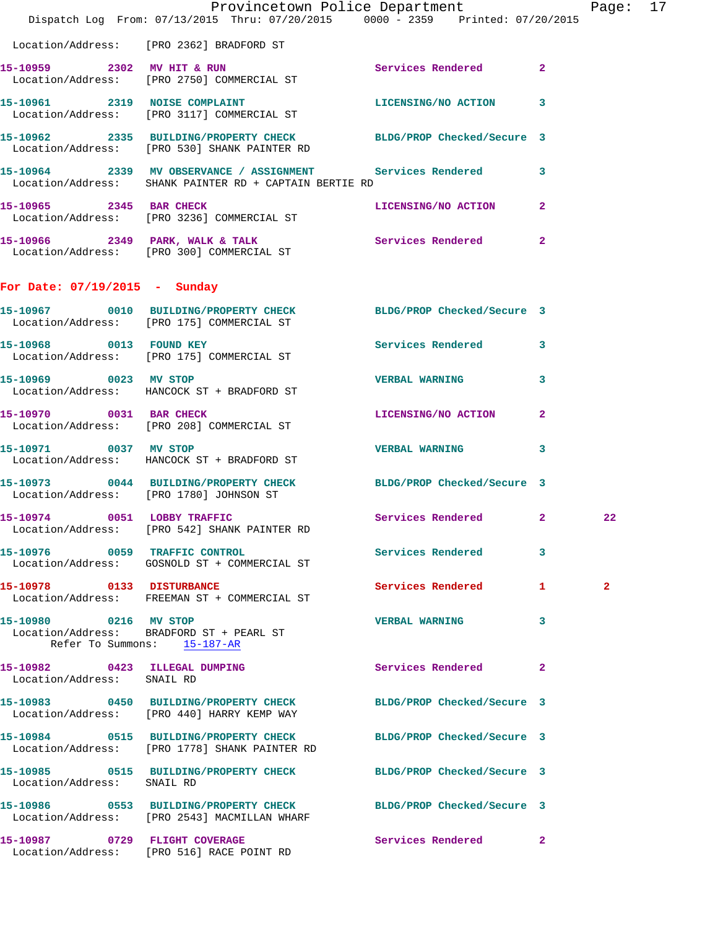|                                                             | Provincetown Police Department<br>Dispatch Log From: 07/13/2015 Thru: 07/20/2015 0000 - 2359 Printed: 07/20/2015       |                            |              | Page: 17     |  |
|-------------------------------------------------------------|------------------------------------------------------------------------------------------------------------------------|----------------------------|--------------|--------------|--|
|                                                             | Location/Address: [PRO 2362] BRADFORD ST                                                                               |                            |              |              |  |
|                                                             | 15-10959 2302 MV HIT & RUN<br>Location/Address: [PRO 2750] COMMERCIAL ST                                               | Services Rendered 2        |              |              |  |
|                                                             | 15-10961 2319 NOISE COMPLAINT<br>Location/Address: [PRO 3117] COMMERCIAL ST                                            | LICENSING/NO ACTION 3      |              |              |  |
|                                                             | 15-10962 2335 BUILDING/PROPERTY CHECK BLDG/PROP Checked/Secure 3<br>Location/Address: [PRO 530] SHANK PAINTER RD       |                            |              |              |  |
|                                                             | 15-10964 2339 MV OBSERVANCE / ASSIGNMENT Services Rendered 3<br>Location/Address: SHANK PAINTER RD + CAPTAIN BERTIE RD |                            |              |              |  |
| 15-10965 2345 BAR CHECK                                     | Location/Address: [PRO 3236] COMMERCIAL ST                                                                             | LICENSING/NO ACTION        | $\mathbf{2}$ |              |  |
|                                                             | 15-10966 2349 PARK, WALK & TALK (2008) Services Rendered 2<br>Location/Address: [PRO 300] COMMERCIAL ST                |                            |              |              |  |
| For Date: $07/19/2015$ - Sunday                             |                                                                                                                        |                            |              |              |  |
|                                                             | 15-10967 0010 BUILDING/PROPERTY CHECK BLDG/PROP Checked/Secure 3<br>Location/Address: [PRO 175] COMMERCIAL ST          |                            |              |              |  |
|                                                             | 15-10968 0013 FOUND KEY<br>Location/Address: [PRO 175] COMMERCIAL ST                                                   | Services Rendered 3        |              |              |  |
|                                                             | 15-10969 0023 MV STOP<br>Location/Address: HANCOCK ST + BRADFORD ST                                                    | <b>VERBAL WARNING</b>      | 3            |              |  |
|                                                             | 15-10970 0031 BAR CHECK<br>Location/Address: [PRO 208] COMMERCIAL ST                                                   | LICENSING/NO ACTION        | $\mathbf{2}$ |              |  |
| 15-10971 0037 MV STOP                                       | Location/Address: HANCOCK ST + BRADFORD ST                                                                             | <b>VERBAL WARNING</b>      | $\mathbf{3}$ |              |  |
|                                                             | 15-10973 0044 BUILDING/PROPERTY CHECK BLDG/PROP Checked/Secure 3<br>Location/Address: [PRO 1780] JOHNSON ST            |                            |              |              |  |
|                                                             | 15-10974 0051 LOBBY TRAFFIC<br>Location/Address: [PRO 542] SHANK PAINTER RD                                            | Services Rendered 2        |              | 22           |  |
|                                                             | 15-10976 0059 TRAFFIC CONTROL<br>Location/Address: GOSNOLD ST + COMMERCIAL ST                                          | Services Rendered          | 3            |              |  |
|                                                             | 15-10978 0133 DISTURBANCE<br>Location/Address: FREEMAN ST + COMMERCIAL ST                                              | Services Rendered 1        |              | $\mathbf{2}$ |  |
| 15-10980 0216 MV STOP<br>Refer To Summons: 15-187-AR        | Location/Address: BRADFORD ST + PEARL ST                                                                               | <b>VERBAL WARNING</b>      | 3            |              |  |
| 15-10982 0423 ILLEGAL DUMPING<br>Location/Address: SNAIL RD |                                                                                                                        | <b>Services Rendered</b> 2 |              |              |  |
|                                                             | 15-10983 0450 BUILDING/PROPERTY CHECK BLDG/PROP Checked/Secure 3<br>Location/Address: [PRO 440] HARRY KEMP WAY         |                            |              |              |  |
|                                                             | 15-10984 0515 BUILDING/PROPERTY CHECK BLDG/PROP Checked/Secure 3<br>Location/Address: [PRO 1778] SHANK PAINTER RD      |                            |              |              |  |
| Location/Address: SNAIL RD                                  | 15-10985 0515 BUILDING/PROPERTY CHECK BLDG/PROP Checked/Secure 3                                                       |                            |              |              |  |
|                                                             | 15-10986 0553 BUILDING/PROPERTY CHECK BLDG/PROP Checked/Secure 3<br>Location/Address: [PRO 2543] MACMILLAN WHARF       |                            |              |              |  |
|                                                             | 15-10987 0729 FLIGHT COVERAGE<br>Location/Address: [PRO 516] RACE POINT RD                                             | Services Rendered 2        |              |              |  |
|                                                             |                                                                                                                        |                            |              |              |  |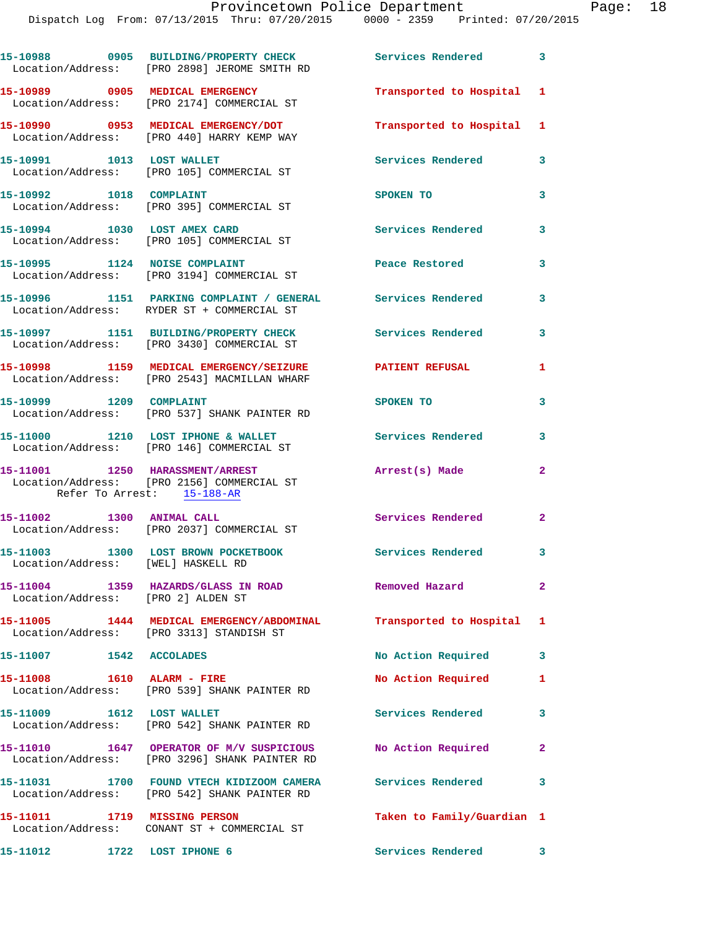|                                    | 15-10988 0905 BUILDING/PROPERTY CHECK<br>Location/Address: [PRO 2898] JEROME SMITH RD                           | Services Rendered 3        |                         |
|------------------------------------|-----------------------------------------------------------------------------------------------------------------|----------------------------|-------------------------|
|                                    | 15-10989 0905 MEDICAL EMERGENCY<br>Location/Address: [PRO 2174] COMMERCIAL ST                                   | Transported to Hospital 1  |                         |
|                                    | 15-10990 0953 MEDICAL EMERGENCY/DOT<br>Location/Address: [PRO 440] HARRY KEMP WAY                               | Transported to Hospital 1  |                         |
| 15-10991 1013 LOST WALLET          | Location/Address: [PRO 105] COMMERCIAL ST                                                                       | Services Rendered          | 3                       |
| 15-10992 1018 COMPLAINT            | Location/Address: [PRO 395] COMMERCIAL ST                                                                       | SPOKEN TO                  | 3                       |
|                                    | 15-10994 1030 LOST AMEX CARD<br>Location/Address: [PRO 105] COMMERCIAL ST                                       | <b>Services Rendered</b>   | 3                       |
|                                    | 15-10995 1124 NOISE COMPLAINT<br>Location/Address: [PRO 3194] COMMERCIAL ST                                     | Peace Restored             | 3                       |
|                                    | 15-10996 1151 PARKING COMPLAINT / GENERAL Services Rendered<br>Location/Address: RYDER ST + COMMERCIAL ST       |                            | 3                       |
|                                    | 15-10997 1151 BUILDING/PROPERTY CHECK<br>Location/Address: [PRO 3430] COMMERCIAL ST                             | Services Rendered          | 3                       |
|                                    | 15-10998 1159 MEDICAL EMERGENCY/SEIZURE<br>Location/Address: [PRO 2543] MACMILLAN WHARF                         | PATIENT REFUSAL            | 1                       |
| 15-10999 1209 COMPLAINT            | Location/Address: [PRO 537] SHANK PAINTER RD                                                                    | SPOKEN TO                  | 3                       |
|                                    | 15-11000 1210 LOST IPHONE & WALLET<br>Location/Address: [PRO 146] COMMERCIAL ST                                 | <b>Services Rendered</b>   | 3                       |
| Refer To Arrest: 15-188-AR         | 15-11001 1250 HARASSMENT/ARREST<br>Location/Address: [PRO 2156] COMMERCIAL ST                                   | Arrest(s) Made             | $\mathbf{2}$            |
| 15-11002 1300 ANIMAL CALL          | Location/Address: [PRO 2037] COMMERCIAL ST                                                                      | Services Rendered 2        |                         |
| Location/Address: [WEL] HASKELL RD | 15-11003 1300 LOST BROWN POCKETBOOK                                                                             | Services Rendered          | 3                       |
| Location/Address: [PRO 2] ALDEN ST | 15-11004 1359 HAZARDS/GLASS IN ROAD                                                                             | Removed Hazard             | $\mathbf{2}$            |
|                                    | 15-11005 1444 MEDICAL EMERGENCY/ABDOMINAL Transported to Hospital 1<br>Location/Address: [PRO 3313] STANDISH ST |                            |                         |
| 15-11007 1542 ACCOLADES            |                                                                                                                 | No Action Required         | $\overline{\mathbf{3}}$ |
| 15-11008    1610    ALARM - FIRE   | Location/Address: [PRO 539] SHANK PAINTER RD                                                                    | No Action Required         | 1                       |
| 15-11009 1612 LOST WALLET          | Location/Address: [PRO 542] SHANK PAINTER RD                                                                    | Services Rendered          | 3                       |
|                                    | 15-11010 1647 OPERATOR OF M/V SUSPICIOUS<br>Location/Address: [PRO 3296] SHANK PAINTER RD                       | No Action Required         | $\mathbf{2}$            |
|                                    | 15-11031 1700 FOUND VTECH KIDIZOOM CAMERA<br>Location/Address: [PRO 542] SHANK PAINTER RD                       | <b>Services Rendered</b>   | $\overline{\mathbf{3}}$ |
| 15-11011 1719 MISSING PERSON       | Location/Address: CONANT ST + COMMERCIAL ST                                                                     | Taken to Family/Guardian 1 |                         |
| 15-11012 1722 LOST IPHONE 6        |                                                                                                                 | Services Rendered          | 3                       |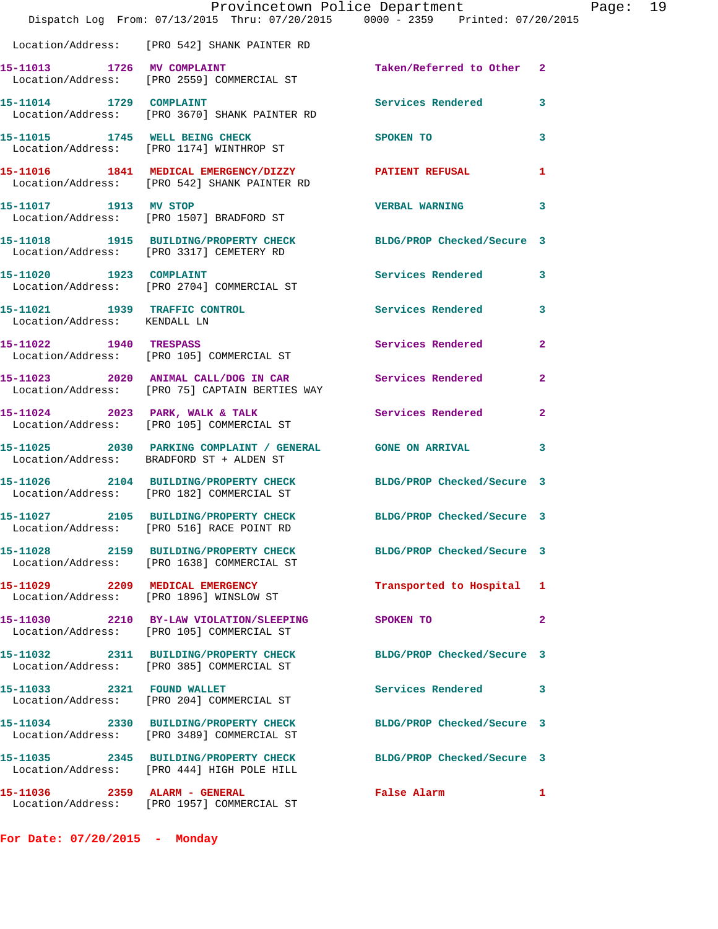|                                                               | Provincetown Police Department<br>Dispatch Log From: 07/13/2015 Thru: 07/20/2015 0000 - 2359 Printed: 07/20/2015 |                            |              |
|---------------------------------------------------------------|------------------------------------------------------------------------------------------------------------------|----------------------------|--------------|
|                                                               | Location/Address: [PRO 542] SHANK PAINTER RD                                                                     |                            |              |
|                                                               | 15-11013 1726 MV COMPLAINT<br>Location/Address: [PRO 2559] COMMERCIAL ST                                         | Taken/Referred to Other    | $\mathbf{2}$ |
| 15-11014 1729 COMPLAINT                                       | Location/Address: [PRO 3670] SHANK PAINTER RD                                                                    | Services Rendered          | 3            |
|                                                               | 15-11015 1745 WELL BEING CHECK<br>Location/Address: [PRO 1174] WINTHROP ST                                       | SPOKEN TO                  | 3            |
|                                                               | 15-11016 1841 MEDICAL EMERGENCY/DIZZY PATIENT REFUSAL<br>Location/Address: [PRO 542] SHANK PAINTER RD            |                            | 1            |
| 15-11017 1913 MV STOP                                         | Location/Address: [PRO 1507] BRADFORD ST                                                                         | <b>VERBAL WARNING</b>      | 3            |
|                                                               | 15-11018 1915 BUILDING/PROPERTY CHECK BLDG/PROP Checked/Secure 3<br>Location/Address: [PRO 3317] CEMETERY RD     |                            |              |
| 15-11020 1923 COMPLAINT                                       | Location/Address: [PRO 2704] COMMERCIAL ST                                                                       | Services Rendered          | 3            |
| 15-11021 1939 TRAFFIC CONTROL<br>Location/Address: KENDALL LN |                                                                                                                  | Services Rendered          | 3            |
|                                                               | 15-11022 1940 TRESPASS<br>Location/Address: [PRO 105] COMMERCIAL ST                                              | <b>Services Rendered</b>   | $\mathbf{2}$ |
|                                                               | 15-11023 2020 ANIMAL CALL/DOG IN CAR Services Rendered<br>Location/Address: [PRO 75] CAPTAIN BERTIES WAY         |                            | $\mathbf{2}$ |
|                                                               | 15-11024 2023 PARK, WALK & TALK<br>Location/Address: [PRO 105] COMMERCIAL ST                                     | Services Rendered          | $\mathbf{2}$ |
|                                                               | 15-11025 2030 PARKING COMPLAINT / GENERAL GONE ON ARRIVAL<br>Location/Address: BRADFORD ST + ALDEN ST            |                            | 3            |
|                                                               | 15-11026 2104 BUILDING/PROPERTY CHECK BLDG/PROP Checked/Secure 3<br>Location/Address: [PRO 182] COMMERCIAL ST    |                            |              |
|                                                               | 15-11027 2105 BUILDING/PROPERTY CHECK<br>Location/Address: [PRO 516] RACE POINT RD                               | BLDG/PROP Checked/Secure 3 |              |
|                                                               | 15-11028 2159 BUILDING/PROPERTY CHECK<br>Location/Address: [PRO 1638] COMMERCIAL ST                              | BLDG/PROP Checked/Secure 3 |              |
|                                                               | 15-11029 2209 MEDICAL EMERGENCY<br>Location/Address: [PRO 1896] WINSLOW ST                                       | Transported to Hospital    | ı            |
|                                                               | 15-11030 2210 BY-LAW VIOLATION/SLEEPING<br>Location/Address: [PRO 105] COMMERCIAL ST                             | SPOKEN TO                  | $\mathbf{2}$ |
|                                                               | 15-11032 2311 BUILDING/PROPERTY CHECK<br>Location/Address: [PRO 385] COMMERCIAL ST                               | BLDG/PROP Checked/Secure 3 |              |
| 15-11033 2321 FOUND WALLET                                    | Location/Address: [PRO 204] COMMERCIAL ST                                                                        | Services Rendered          | 3            |
|                                                               | 15-11034 2330 BUILDING/PROPERTY CHECK<br>Location/Address: [PRO 3489] COMMERCIAL ST                              | BLDG/PROP Checked/Secure 3 |              |
|                                                               | 15-11035 2345 BUILDING/PROPERTY CHECK<br>Location/Address: [PRO 444] HIGH POLE HILL                              | BLDG/PROP Checked/Secure 3 |              |
|                                                               | 15-11036  2359  ALARM - GENERAL<br>Location/Address: [PRO 1957] COMMERCIAL ST                                    | False Alarm                | 1            |

**For Date: 07/20/2015 - Monday**

Page:  $19$ <br> $15$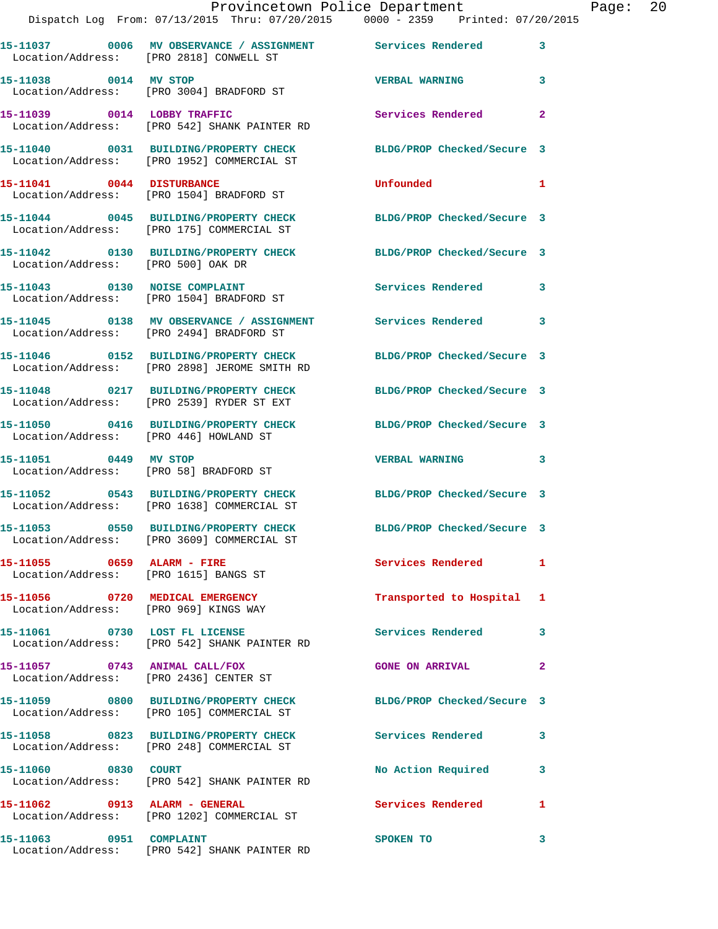|                                        | Dispatch Log From: 07/13/2015 Thru: 07/20/2015 0000 - 2359 Printed: 07/20/2015                                 | Provincetown Police Department |              | Page: 20 |  |
|----------------------------------------|----------------------------------------------------------------------------------------------------------------|--------------------------------|--------------|----------|--|
|                                        | 15-11037 0006 MV OBSERVANCE / ASSIGNMENT Services Rendered 3<br>Location/Address: [PRO 2818] CONWELL ST        |                                |              |          |  |
| 15-11038 0014 MV STOP                  | Location/Address: [PRO 3004] BRADFORD ST                                                                       | <b>VERBAL WARNING 3</b>        |              |          |  |
|                                        | 15-11039 0014 LOBBY TRAFFIC<br>Location/Address: [PRO 542] SHANK PAINTER RD                                    | Services Rendered              | $\mathbf{2}$ |          |  |
|                                        | 15-11040 0031 BUILDING/PROPERTY CHECK BLDG/PROP Checked/Secure 3<br>Location/Address: [PRO 1952] COMMERCIAL ST |                                |              |          |  |
|                                        | 15-11041 0044 DISTURBANCE<br>Location/Address: [PRO 1504] BRADFORD ST                                          | <b>Unfounded</b>               | -1           |          |  |
|                                        | 15-11044 0045 BUILDING/PROPERTY CHECK BLDG/PROP Checked/Secure 3<br>Location/Address: [PRO 175] COMMERCIAL ST  |                                |              |          |  |
| Location/Address: [PRO 500] OAK DR     | 15-11042 0130 BUILDING/PROPERTY CHECK BLDG/PROP Checked/Secure 3                                               |                                |              |          |  |
|                                        | 15-11043 0130 NOISE COMPLAINT<br>Location/Address: [PRO 1504] BRADFORD ST                                      | Services Rendered 3            |              |          |  |
|                                        | 15-11045 0138 MV OBSERVANCE / ASSIGNMENT Services Rendered 3<br>Location/Address: [PRO 2494] BRADFORD ST       |                                |              |          |  |
|                                        | 15-11046 0152 BUILDING/PROPERTY CHECK<br>Location/Address: [PRO 2898] JEROME SMITH RD                          | BLDG/PROP Checked/Secure 3     |              |          |  |
|                                        | 15-11048 0217 BUILDING/PROPERTY CHECK BLDG/PROP Checked/Secure 3<br>Location/Address: [PRO 2539] RYDER ST EXT  |                                |              |          |  |
| Location/Address: [PRO 446] HOWLAND ST | 15-11050 0416 BUILDING/PROPERTY CHECK BLDG/PROP Checked/Secure 3                                               |                                |              |          |  |
| 15-11051 0449 MV STOP                  | Location/Address: [PRO 58] BRADFORD ST                                                                         | VERBAL WARNING 3               |              |          |  |
|                                        | 15-11052 0543 BUILDING/PROPERTY CHECK BLDG/PROP Checked/Secure 3<br>Location/Address: [PRO 1638] COMMERCIAL ST |                                |              |          |  |
|                                        | 15-11053 0550 BUILDING/PROPERTY CHECK<br>Location/Address: [PRO 3609] COMMERCIAL ST                            | BLDG/PROP Checked/Secure 3     |              |          |  |
|                                        | 15-11055 0659 ALARM - FIRE<br>Location/Address: [PRO 1615] BANGS ST                                            | Services Rendered 1            |              |          |  |
| 15-11056 0720 MEDICAL EMERGENCY        | Location/Address: [PRO 969] KINGS WAY                                                                          | Transported to Hospital 1      |              |          |  |
|                                        | 15-11061 0730 LOST FL LICENSE<br>Location/Address: [PRO 542] SHANK PAINTER RD                                  | <b>Services Rendered</b>       | 3            |          |  |
|                                        | 15-11057 0743 ANIMAL CALL/FOX<br>Location/Address: [PRO 2436] CENTER ST                                        | GONE ON ARRIVAL 2              |              |          |  |
|                                        | 15-11059 0800 BUILDING/PROPERTY CHECK<br>Location/Address: [PRO 105] COMMERCIAL ST                             | BLDG/PROP Checked/Secure 3     |              |          |  |
|                                        | 15-11058 0823 BUILDING/PROPERTY CHECK Services Rendered 3<br>Location/Address: [PRO 248] COMMERCIAL ST         |                                |              |          |  |
| 15-11060 0830 COURT                    | Location/Address: [PRO 542] SHANK PAINTER RD                                                                   | No Action Required             | 3            |          |  |
| 15-11062 0913 ALARM - GENERAL          | Location/Address: [PRO 1202] COMMERCIAL ST                                                                     | Services Rendered              | 1            |          |  |
| 15-11063 0951 COMPLAINT                |                                                                                                                | SPOKEN TO                      | $\mathbf{3}$ |          |  |

Location/Address: [PRO 542] SHANK PAINTER RD